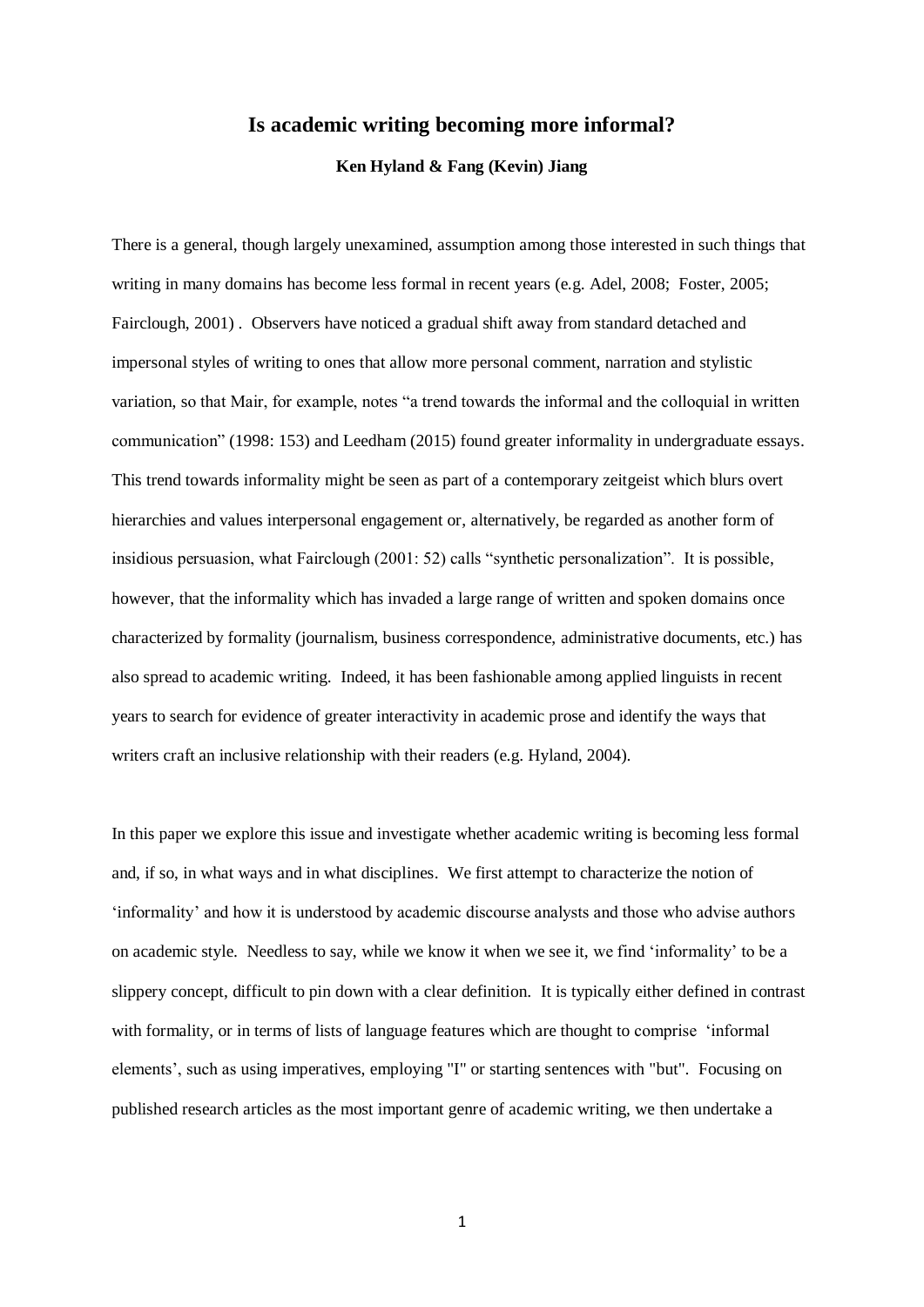# **Is academic writing becoming more informal?**

# **Ken Hyland & Fang (Kevin) Jiang**

There is a general, though largely unexamined, assumption among those interested in such things that writing in many domains has become less formal in recent years (e.g. Adel, 2008; Foster, 2005; Fairclough, 2001) . Observers have noticed a gradual shift away from standard detached and impersonal styles of writing to ones that allow more personal comment, narration and stylistic variation, so that Mair, for example, notes "a trend towards the informal and the colloquial in written communication" (1998: 153) and Leedham (2015) found greater informality in undergraduate essays. This trend towards informality might be seen as part of a contemporary zeitgeist which blurs overt hierarchies and values interpersonal engagement or, alternatively, be regarded as another form of insidious persuasion, what Fairclough (2001: 52) calls "synthetic personalization". It is possible, however, that the informality which has invaded a large range of written and spoken domains once characterized by formality (journalism, business correspondence, administrative documents, etc.) has also spread to academic writing. Indeed, it has been fashionable among applied linguists in recent years to search for evidence of greater interactivity in academic prose and identify the ways that writers craft an inclusive relationship with their readers (e.g. Hyland, 2004).

In this paper we explore this issue and investigate whether academic writing is becoming less formal and, if so, in what ways and in what disciplines. We first attempt to characterize the notion of 'informality' and how it is understood by academic discourse analysts and those who advise authors on academic style. Needless to say, while we know it when we see it, we find 'informality' to be a slippery concept, difficult to pin down with a clear definition. It is typically either defined in contrast with formality, or in terms of lists of language features which are thought to comprise 'informal elements', such as using imperatives, employing "I" or starting sentences with "but". Focusing on published research articles as the most important genre of academic writing, we then undertake a

1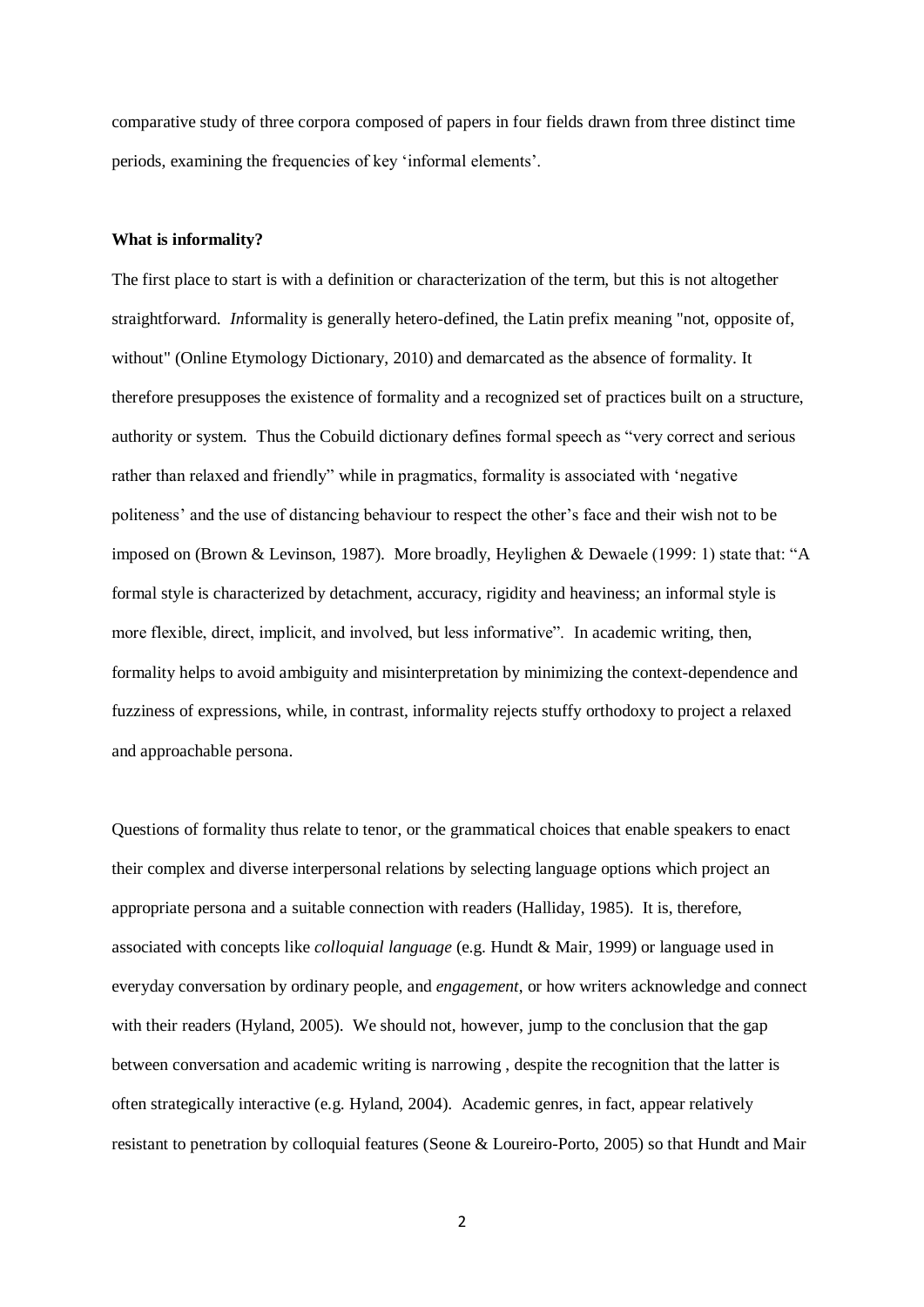comparative study of three corpora composed of papers in four fields drawn from three distinct time periods, examining the frequencies of key 'informal elements'.

#### **What is informality?**

The first place to start is with a definition or characterization of the term, but this is not altogether straightforward. *In*formality is generally hetero-defined, the Latin prefix meaning "not, opposite of, without" (Online Etymology Dictionary, 2010) and demarcated as the absence of formality. It therefore presupposes the existence of formality and a recognized set of practices built on a structure, authority or system. Thus the Cobuild dictionary defines formal speech as "very correct and serious rather than relaxed and friendly" while in pragmatics, formality is associated with 'negative politeness' and the use of distancing behaviour to respect the other's face and their wish not to be imposed on (Brown & Levinson, 1987). More broadly, Heylighen & Dewaele (1999: 1) state that: "A formal style is characterized by detachment, accuracy, rigidity and heaviness; an informal style is more flexible, direct, implicit, and involved, but less informative". In academic writing, then, formality helps to avoid ambiguity and misinterpretation by minimizing the context-dependence and fuzziness of expressions, while, in contrast, informality rejects stuffy orthodoxy to project a relaxed and approachable persona.

Questions of formality thus relate to tenor, or the grammatical choices that enable speakers to enact their complex and diverse interpersonal relations by selecting language options which project an appropriate persona and a suitable connection with readers (Halliday, 1985). It is, therefore, associated with concepts like *colloquial language* (e.g. Hundt & Mair, 1999) or language used in everyday conversation by ordinary people, and *engagement*, or how writers acknowledge and connect with their readers (Hyland, 2005). We should not, however, jump to the conclusion that the gap between conversation and academic writing is narrowing , despite the recognition that the latter is often strategically interactive (e.g. Hyland, 2004). Academic genres, in fact, appear relatively resistant to penetration by colloquial features (Seone & Loureiro-Porto, 2005) so that Hundt and Mair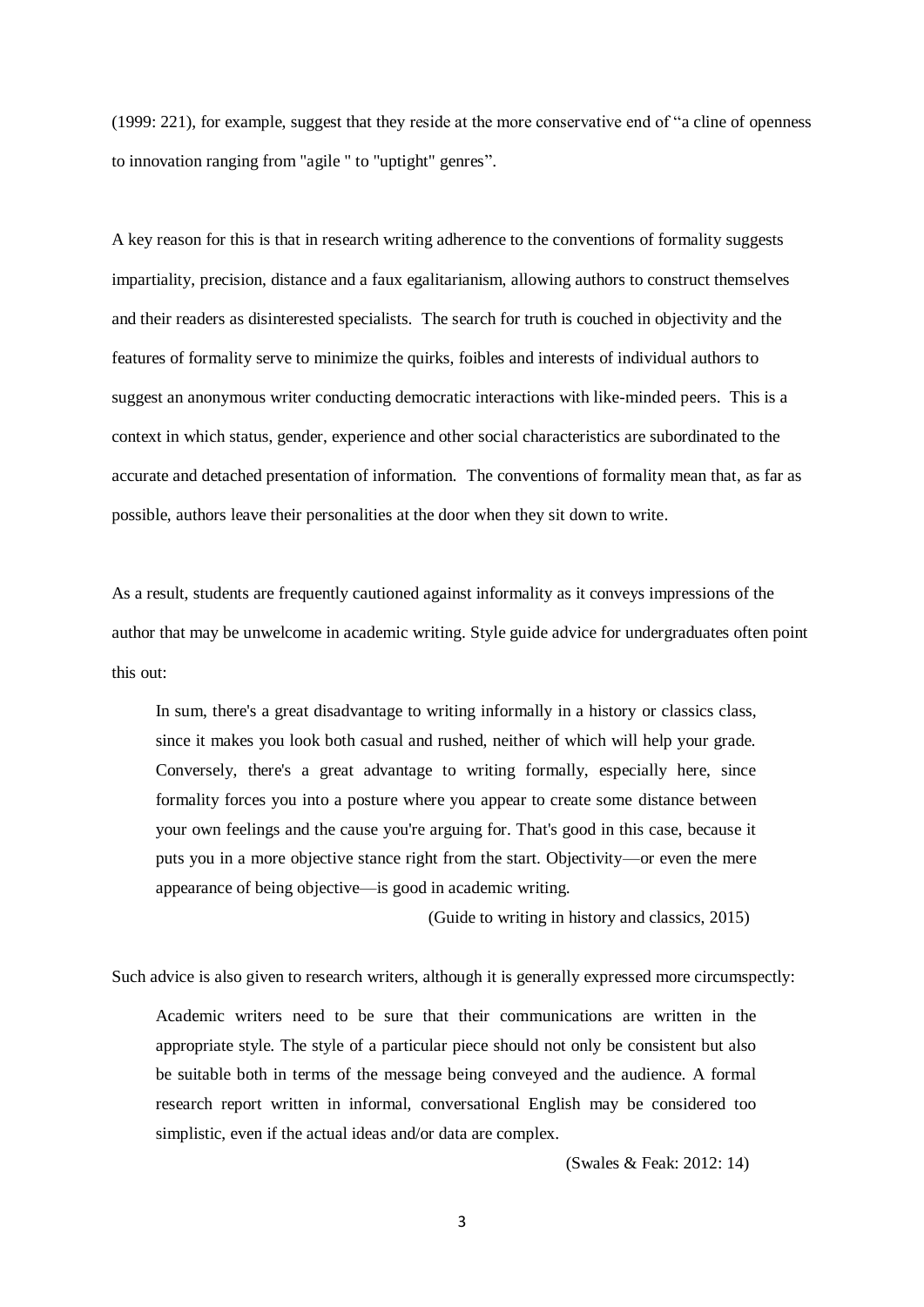(1999: 221), for example, suggest that they reside at the more conservative end of "a cline of openness to innovation ranging from "agile " to "uptight" genres".

A key reason for this is that in research writing adherence to the conventions of formality suggests impartiality, precision, distance and a faux egalitarianism, allowing authors to construct themselves and their readers as disinterested specialists. The search for truth is couched in objectivity and the features of formality serve to minimize the quirks, foibles and interests of individual authors to suggest an anonymous writer conducting democratic interactions with like-minded peers. This is a context in which status, gender, experience and other social characteristics are subordinated to the accurate and detached presentation of information. The conventions of formality mean that, as far as possible, authors leave their personalities at the door when they sit down to write.

As a result, students are frequently cautioned against informality as it conveys impressions of the author that may be unwelcome in academic writing. Style guide advice for undergraduates often point this out:

In sum, there's a great disadvantage to writing informally in a history or classics class, since it makes you look both casual and rushed, neither of which will help your grade. Conversely, there's a great advantage to writing formally, especially here, since formality forces you into a posture where you appear to create some distance between your own feelings and the cause you're arguing for. That's good in this case, because it puts you in a more objective stance right from the start. Objectivity—or even the mere appearance of being objective—is good in academic writing.

(Guide to writing in history and classics, 2015)

Such advice is also given to research writers, although it is generally expressed more circumspectly:

Academic writers need to be sure that their communications are written in the appropriate style. The style of a particular piece should not only be consistent but also be suitable both in terms of the message being conveyed and the audience. A formal research report written in informal, conversational English may be considered too simplistic, even if the actual ideas and/or data are complex.

(Swales & Feak: 2012: 14)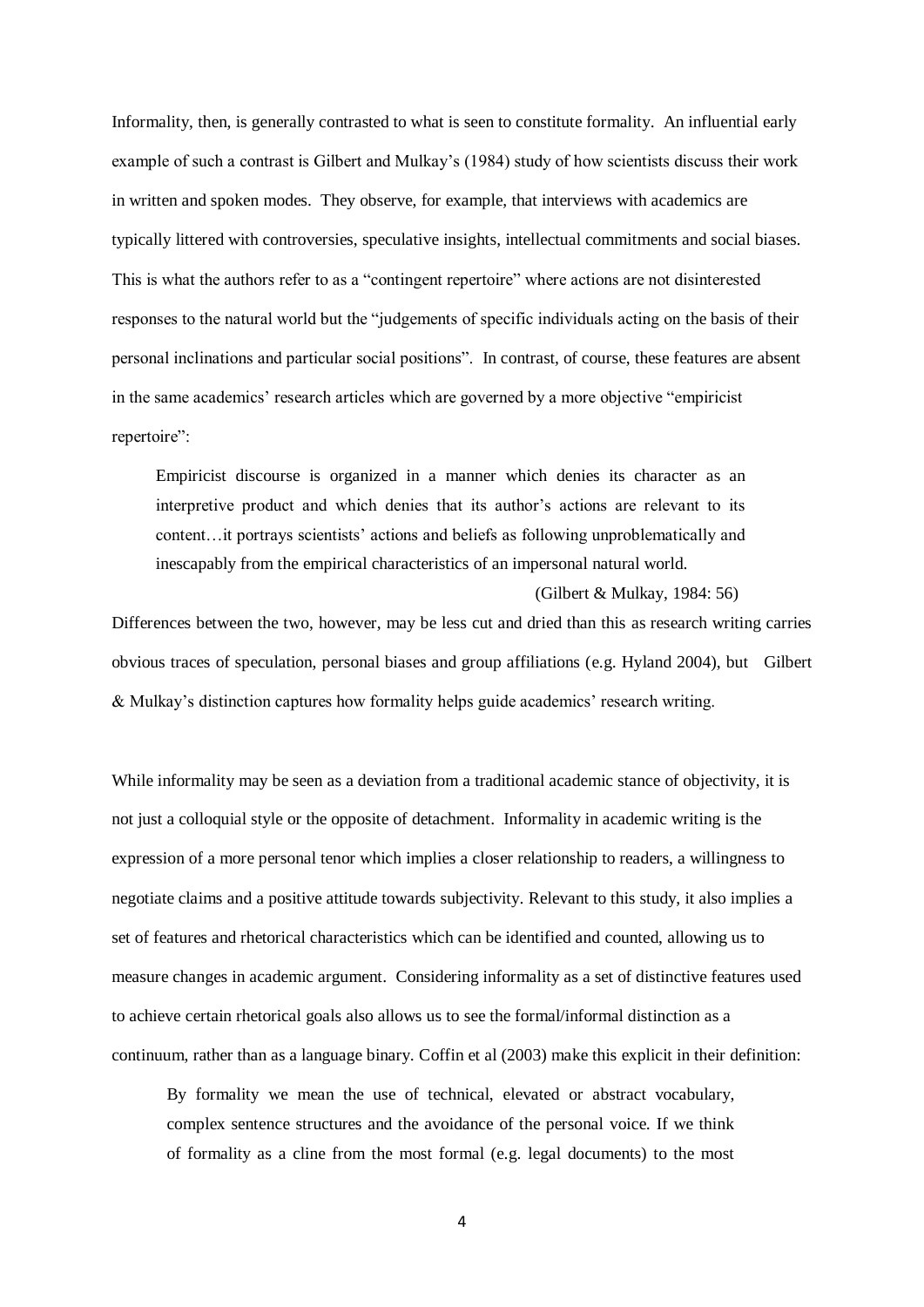Informality, then, is generally contrasted to what is seen to constitute formality. An influential early example of such a contrast is Gilbert and Mulkay's (1984) study of how scientists discuss their work in written and spoken modes. They observe, for example, that interviews with academics are typically littered with controversies, speculative insights, intellectual commitments and social biases. This is what the authors refer to as a "contingent repertoire" where actions are not disinterested responses to the natural world but the "judgements of specific individuals acting on the basis of their personal inclinations and particular social positions". In contrast, of course, these features are absent in the same academics' research articles which are governed by a more objective "empiricist repertoire":

Empiricist discourse is organized in a manner which denies its character as an interpretive product and which denies that its author's actions are relevant to its content…it portrays scientists' actions and beliefs as following unproblematically and inescapably from the empirical characteristics of an impersonal natural world.

Differences between the two, however, may be less cut and dried than this as research writing carries obvious traces of speculation, personal biases and group affiliations (e.g. Hyland 2004), but Gilbert & Mulkay's distinction captures how formality helps guide academics' research writing.

(Gilbert & Mulkay, 1984: 56)

While informality may be seen as a deviation from a traditional academic stance of objectivity, it is not just a colloquial style or the opposite of detachment. Informality in academic writing is the expression of a more personal tenor which implies a closer relationship to readers, a willingness to negotiate claims and a positive attitude towards subjectivity. Relevant to this study, it also implies a set of features and rhetorical characteristics which can be identified and counted, allowing us to measure changes in academic argument. Considering informality as a set of distinctive features used to achieve certain rhetorical goals also allows us to see the formal/informal distinction as a continuum, rather than as a language binary. Coffin et al (2003) make this explicit in their definition:

By formality we mean the use of technical, elevated or abstract vocabulary, complex sentence structures and the avoidance of the personal voice. If we think of formality as a cline from the most formal (e.g. legal documents) to the most

4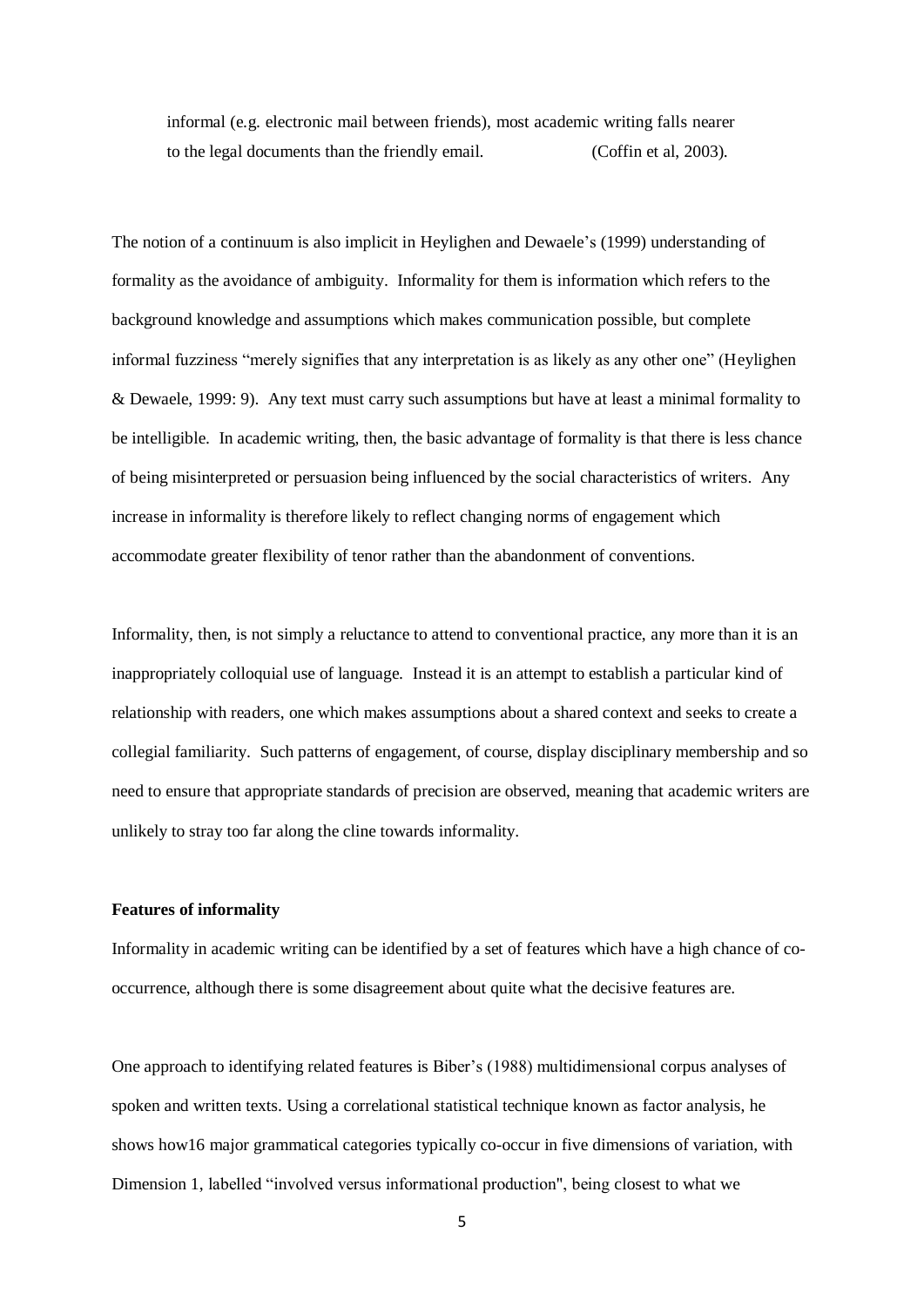informal (e.g. electronic mail between friends), most academic writing falls nearer to the legal documents than the friendly email. (Coffin et al, 2003).

The notion of a continuum is also implicit in Heylighen and Dewaele's (1999) understanding of formality as the avoidance of ambiguity. Informality for them is information which refers to the background knowledge and assumptions which makes communication possible, but complete informal fuzziness "merely signifies that any interpretation is as likely as any other one" (Heylighen & Dewaele, 1999: 9). Any text must carry such assumptions but have at least a minimal formality to be intelligible. In academic writing, then, the basic advantage of formality is that there is less chance of being misinterpreted or persuasion being influenced by the social characteristics of writers. Any increase in informality is therefore likely to reflect changing norms of engagement which accommodate greater flexibility of tenor rather than the abandonment of conventions.

Informality, then, is not simply a reluctance to attend to conventional practice, any more than it is an inappropriately colloquial use of language. Instead it is an attempt to establish a particular kind of relationship with readers, one which makes assumptions about a shared context and seeks to create a collegial familiarity. Such patterns of engagement, of course, display disciplinary membership and so need to ensure that appropriate standards of precision are observed, meaning that academic writers are unlikely to stray too far along the cline towards informality.

### **Features of informality**

Informality in academic writing can be identified by a set of features which have a high chance of cooccurrence, although there is some disagreement about quite what the decisive features are.

One approach to identifying related features is Biber's (1988) multidimensional corpus analyses of spoken and written texts. Using a correlational statistical technique known as factor analysis, he shows how16 major grammatical categories typically co-occur in five dimensions of variation, with Dimension 1, labelled "involved versus informational production", being closest to what we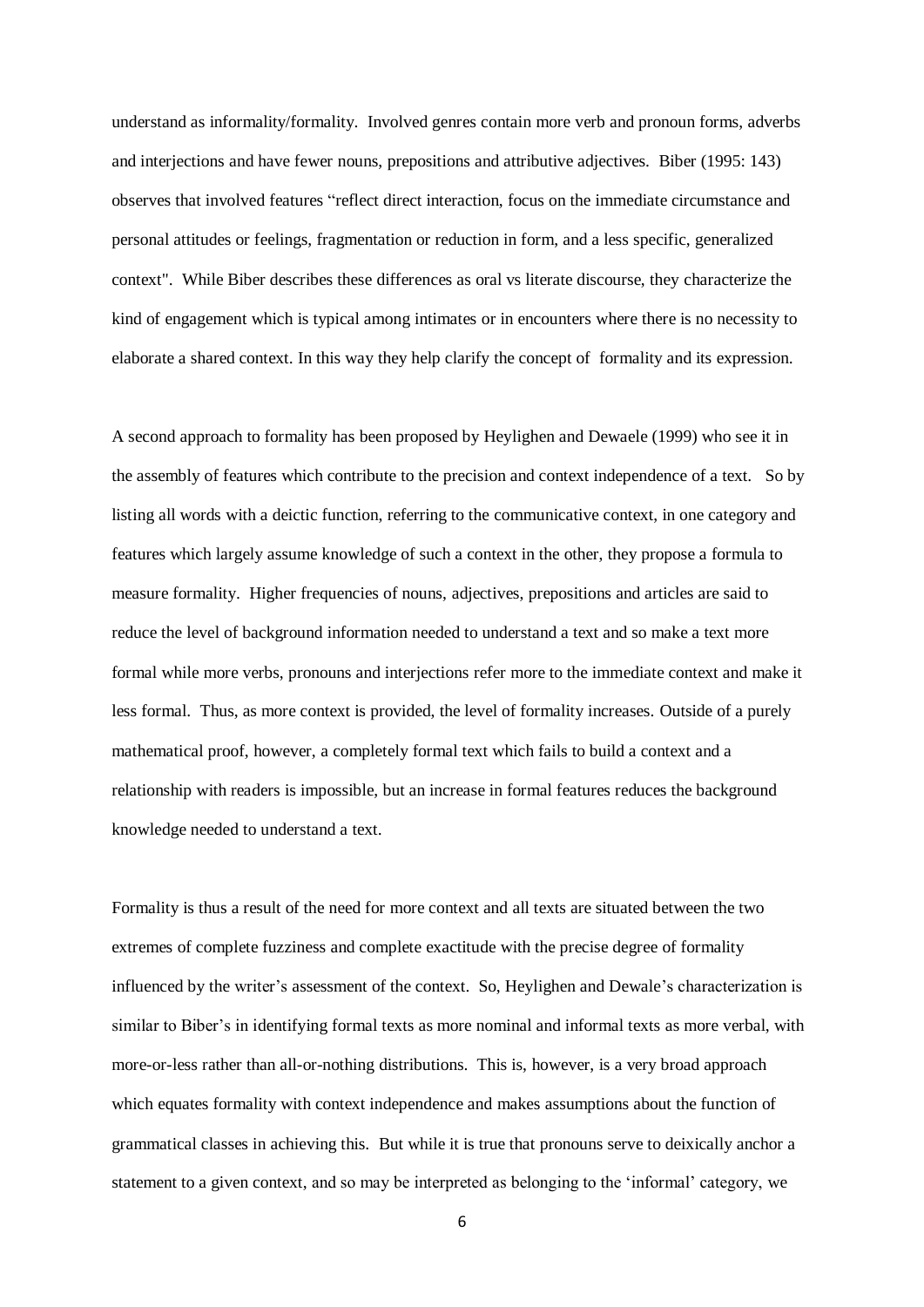understand as informality/formality. Involved genres contain more verb and pronoun forms, adverbs and interjections and have fewer nouns, prepositions and attributive adjectives. Biber (1995: 143) observes that involved features "reflect direct interaction, focus on the immediate circumstance and personal attitudes or feelings, fragmentation or reduction in form, and a less specific, generalized context". While Biber describes these differences as oral vs literate discourse, they characterize the kind of engagement which is typical among intimates or in encounters where there is no necessity to elaborate a shared context. In this way they help clarify the concept of formality and its expression.

A second approach to formality has been proposed by Heylighen and Dewaele (1999) who see it in the assembly of features which contribute to the precision and context independence of a text. So by listing all words with a deictic function, referring to the communicative context, in one category and features which largely assume knowledge of such a context in the other, they propose a formula to measure formality. Higher frequencies of nouns, adjectives, prepositions and articles are said to reduce the level of background information needed to understand a text and so make a text more formal while more verbs, pronouns and interjections refer more to the immediate context and make it less formal. Thus, as more context is provided, the level of formality increases. Outside of a purely mathematical proof, however, a completely formal text which fails to build a context and a relationship with readers is impossible, but an increase in formal features reduces the background knowledge needed to understand a text.

Formality is thus a result of the need for more context and all texts are situated between the two extremes of complete fuzziness and complete exactitude with the precise degree of formality influenced by the writer's assessment of the context. So, Heylighen and Dewale's characterization is similar to Biber's in identifying formal texts as more nominal and informal texts as more verbal, with more-or-less rather than all-or-nothing distributions. This is, however, is a very broad approach which equates formality with context independence and makes assumptions about the function of grammatical classes in achieving this. But while it is true that pronouns serve to deixically anchor a statement to a given context, and so may be interpreted as belonging to the 'informal' category, we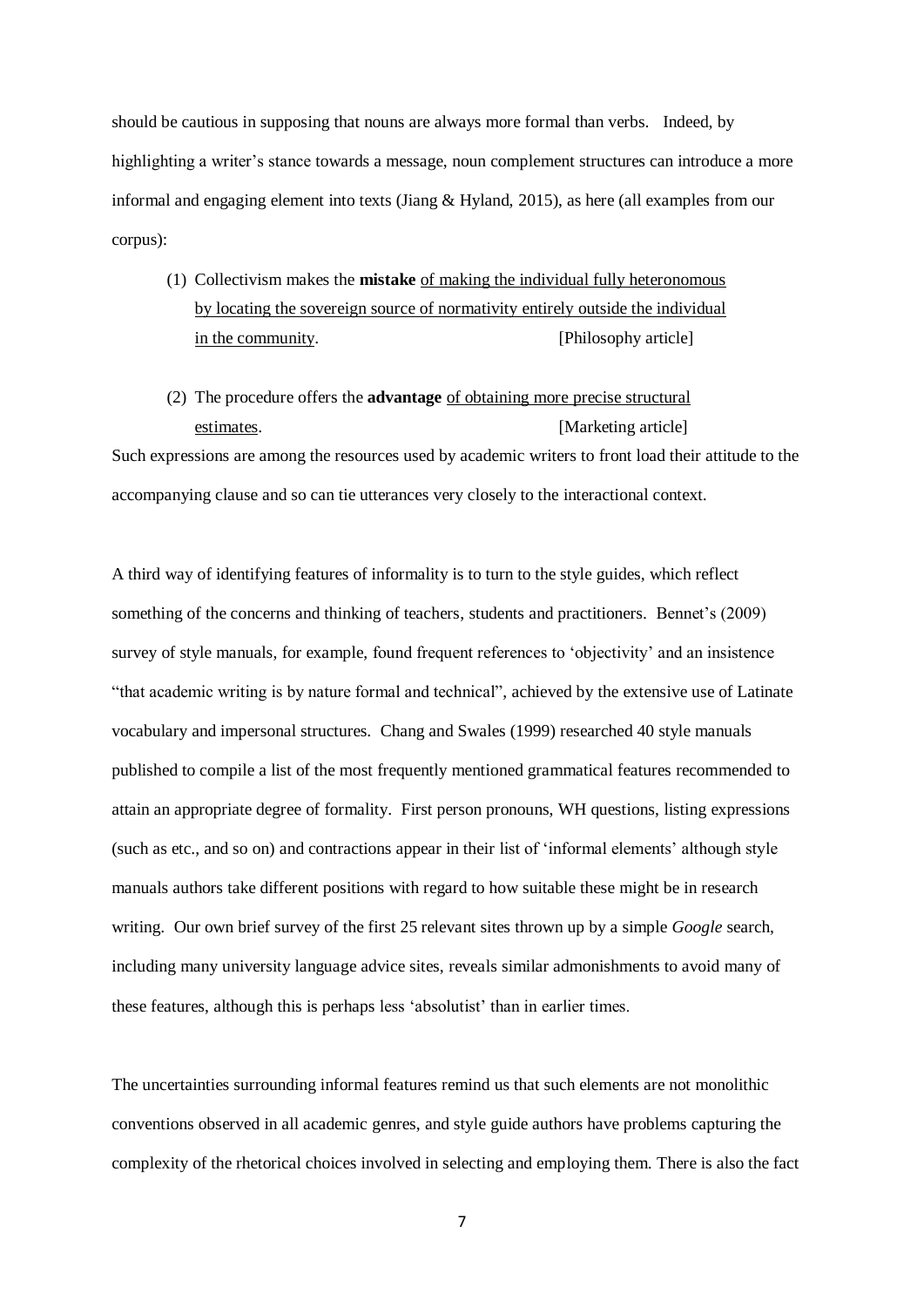should be cautious in supposing that nouns are always more formal than verbs. Indeed, by highlighting a writer's stance towards a message, noun complement structures can introduce a more informal and engaging element into texts (Jiang & Hyland, 2015), as here (all examples from our corpus):

- (1) Collectivism makes the **mistake** of making the individual fully heteronomous by locating the sovereign source of normativity entirely outside the individual in the community. [Philosophy article]
- (2) The procedure offers the **advantage** of obtaining more precise structural estimates. [Marketing article]

Such expressions are among the resources used by academic writers to front load their attitude to the accompanying clause and so can tie utterances very closely to the interactional context.

A third way of identifying features of informality is to turn to the style guides, which reflect something of the concerns and thinking of teachers, students and practitioners. Bennet's (2009) survey of style manuals, for example, found frequent references to 'objectivity' and an insistence "that academic writing is by nature formal and technical", achieved by the extensive use of Latinate vocabulary and impersonal structures. Chang and Swales (1999) researched 40 style manuals published to compile a list of the most frequently mentioned grammatical features recommended to attain an appropriate degree of formality. First person pronouns, WH questions, listing expressions (such as etc., and so on) and contractions appear in their list of 'informal elements' although style manuals authors take different positions with regard to how suitable these might be in research writing. Our own brief survey of the first 25 relevant sites thrown up by a simple *Google* search, including many university language advice sites, reveals similar admonishments to avoid many of these features, although this is perhaps less 'absolutist' than in earlier times.

The uncertainties surrounding informal features remind us that such elements are not monolithic conventions observed in all academic genres, and style guide authors have problems capturing the complexity of the rhetorical choices involved in selecting and employing them. There is also the fact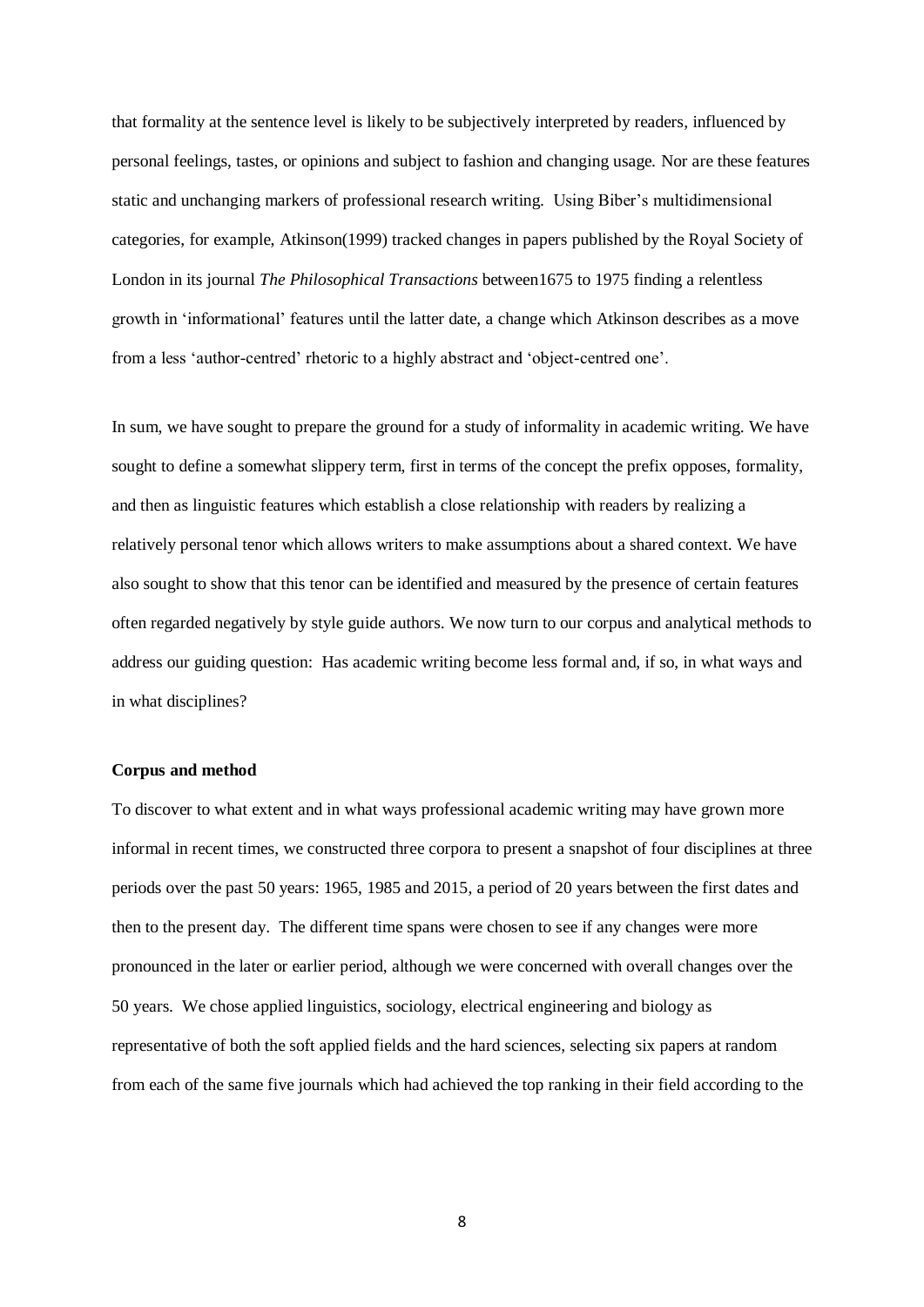that formality at the sentence level is likely to be subjectively interpreted by readers, influenced by personal feelings, tastes, or opinions and subject to fashion and changing usage. Nor are these features static and unchanging markers of professional research writing. Using Biber's multidimensional categories, for example, Atkinson(1999) tracked changes in papers published by the Royal Society of London in its journal *The Philosophical Transactions* between1675 to 1975 finding a relentless growth in 'informational' features until the latter date, a change which Atkinson describes as a move from a less 'author-centred' rhetoric to a highly abstract and 'object-centred one'.

In sum, we have sought to prepare the ground for a study of informality in academic writing. We have sought to define a somewhat slippery term, first in terms of the concept the prefix opposes, formality, and then as linguistic features which establish a close relationship with readers by realizing a relatively personal tenor which allows writers to make assumptions about a shared context. We have also sought to show that this tenor can be identified and measured by the presence of certain features often regarded negatively by style guide authors. We now turn to our corpus and analytical methods to address our guiding question: Has academic writing become less formal and, if so, in what ways and in what disciplines?

#### **Corpus and method**

To discover to what extent and in what ways professional academic writing may have grown more informal in recent times, we constructed three corpora to present a snapshot of four disciplines at three periods over the past 50 years: 1965, 1985 and 2015, a period of 20 years between the first dates and then to the present day. The different time spans were chosen to see if any changes were more pronounced in the later or earlier period, although we were concerned with overall changes over the 50 years. We chose applied linguistics, sociology, electrical engineering and biology as representative of both the soft applied fields and the hard sciences, selecting six papers at random from each of the same five journals which had achieved the top ranking in their field according to the

8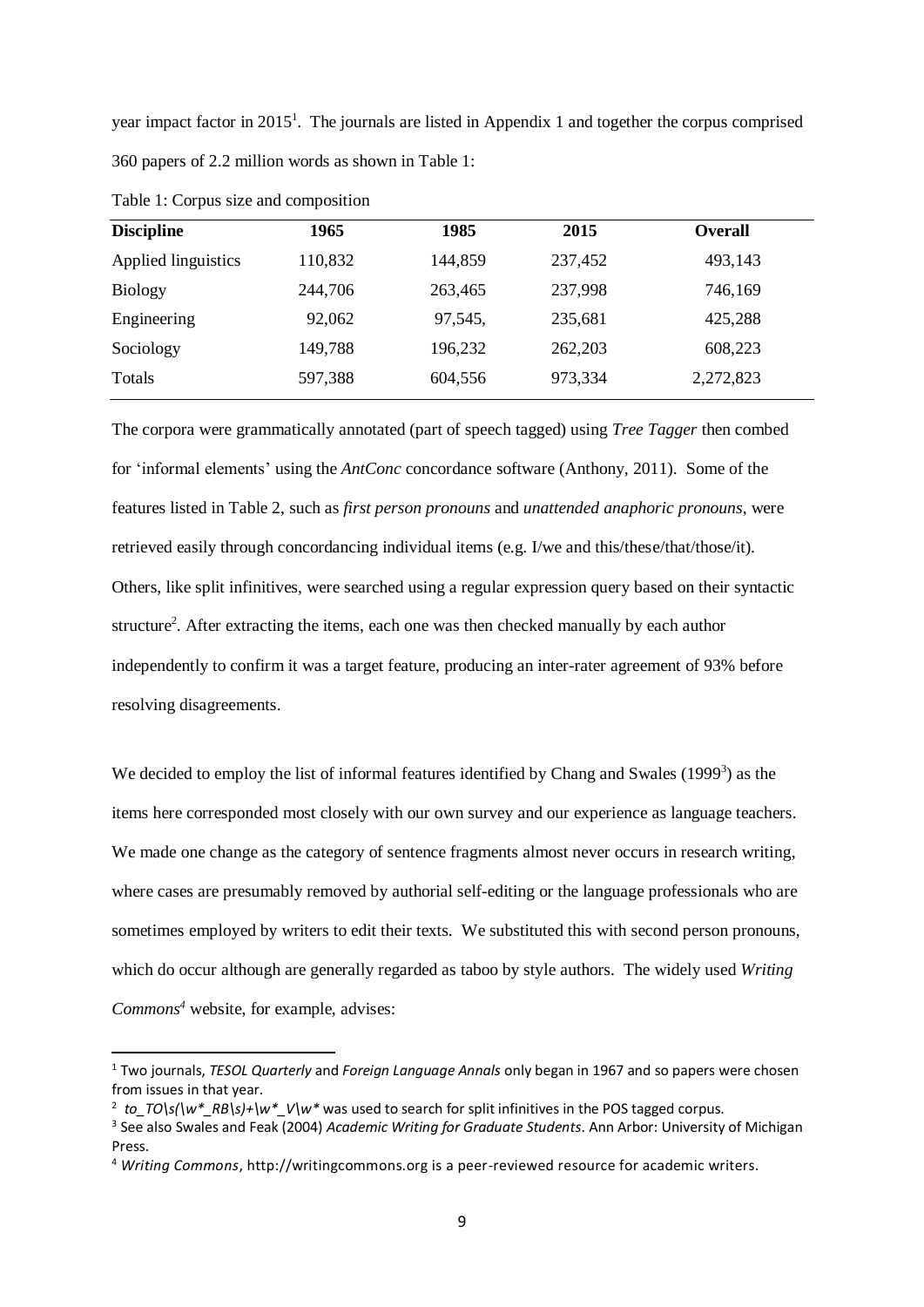year impact factor in 2015<sup>1</sup>. The journals are listed in Appendix 1 and together the corpus comprised 360 papers of 2.2 million words as shown in Table 1:

| <b>Discipline</b>   | 1965    | 1985    | 2015    | <b>Overall</b> |
|---------------------|---------|---------|---------|----------------|
| Applied linguistics | 110,832 | 144,859 | 237,452 | 493,143        |
| <b>Biology</b>      | 244,706 | 263,465 | 237,998 | 746,169        |
| Engineering         | 92,062  | 97,545, | 235,681 | 425,288        |
| Sociology           | 149,788 | 196,232 | 262,203 | 608,223        |
| Totals              | 597,388 | 604,556 | 973,334 | 2,272,823      |

Table 1: Corpus size and composition

1

The corpora were grammatically annotated (part of speech tagged) using *Tree Tagger* then combed for 'informal elements' using the *AntConc* concordance software (Anthony, 2011). Some of the features listed in Table 2, such as *first person pronouns* and *unattended anaphoric pronouns*, were retrieved easily through concordancing individual items (e.g. I/we and this/these/that/those/it). Others, like split infinitives, were searched using a regular expression query based on their syntactic structure<sup>2</sup>. After extracting the items, each one was then checked manually by each author independently to confirm it was a target feature, producing an inter-rater agreement of 93% before resolving disagreements.

We decided to employ the list of informal features identified by Chang and Swales  $(1999<sup>3</sup>)$  as the items here corresponded most closely with our own survey and our experience as language teachers. We made one change as the category of sentence fragments almost never occurs in research writing, where cases are presumably removed by authorial self-editing or the language professionals who are sometimes employed by writers to edit their texts. We substituted this with second person pronouns, which do occur although are generally regarded as taboo by style authors. The widely used *Writing Commons <sup>4</sup>* website, for example, advises:

<sup>1</sup> Two journals, *TESOL Quarterly* and *Foreign Language Annals* only began in 1967 and so papers were chosen from issues in that year.

<sup>2</sup> *to\_TO\s(\w\*\_RB\s)+\w\*\_V\w\** was used to search for split infinitives in the POS tagged corpus.

<sup>3</sup> See also Swales and Feak (2004) *Academic Writing for Graduate Students*. Ann Arbor: University of Michigan Press.

<sup>4</sup> *Writing Commons*, http://writingcommons.org is a peer-reviewed resource for academic writers.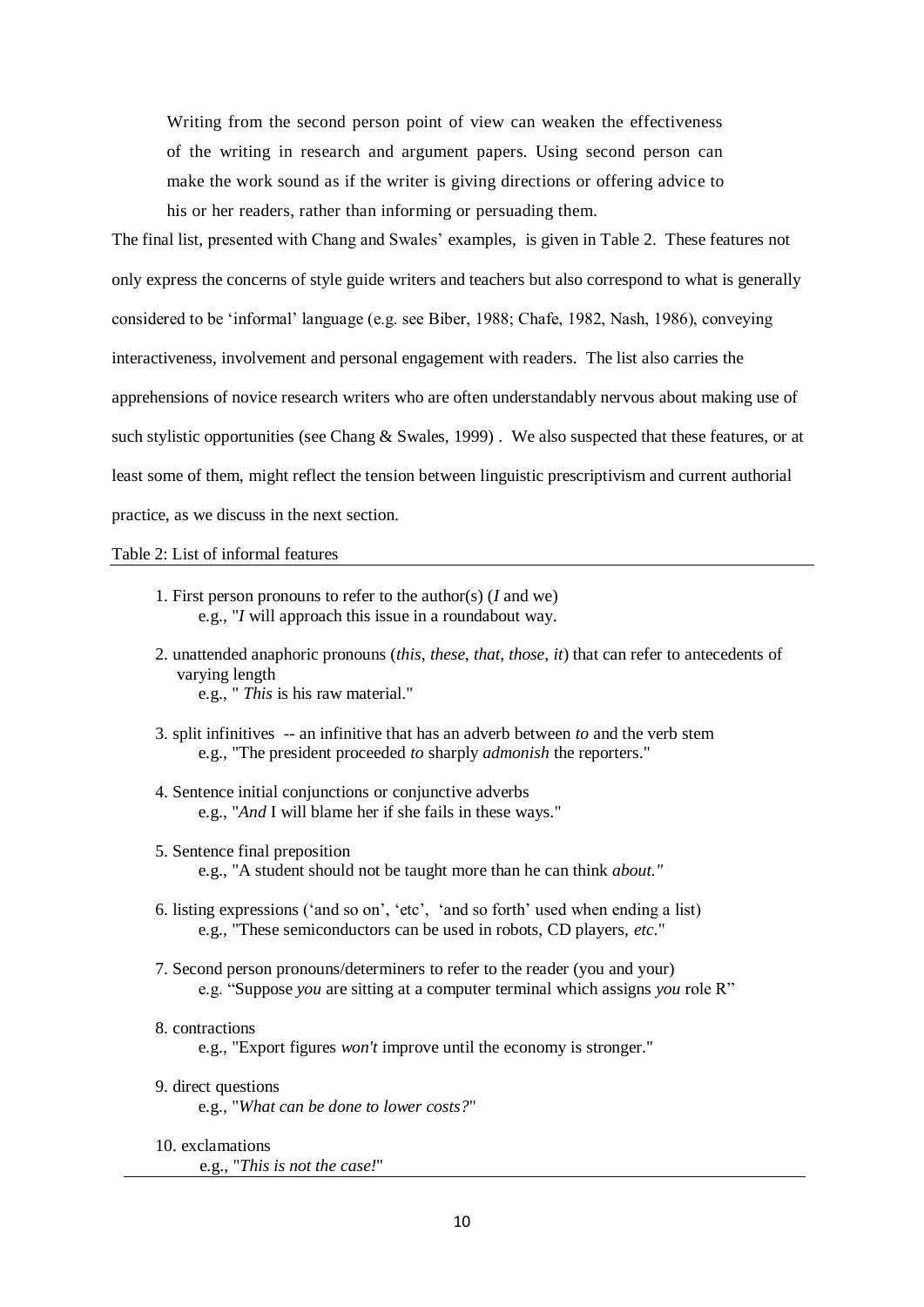Writing from the second person point of view can weaken the effectiveness of the writing in research and argument papers. Using second person can make the work sound as if the writer is giving directions or offering advice to his or her readers, rather than informing or persuading them.

The final list, presented with Chang and Swales' examples, is given in Table 2. These features not only express the concerns of style guide writers and teachers but also correspond to what is generally considered to be 'informal' language (e.g. see Biber, 1988; Chafe, 1982, Nash, 1986), conveying interactiveness, involvement and personal engagement with readers. The list also carries the apprehensions of novice research writers who are often understandably nervous about making use of such stylistic opportunities (see Chang & Swales, 1999) . We also suspected that these features, or at least some of them, might reflect the tension between linguistic prescriptivism and current authorial practice, as we discuss in the next section.

Table 2: List of informal features

- 1. First person pronouns to refer to the author(s) (*I* and we) e.g., "*I* will approach this issue in a roundabout way.
- 2. unattended anaphoric pronouns (*this*, *these*, *that*, *those*, *it*) that can refer to antecedents of varying length e.g., " *This* is his raw material."
- 3. split infinitives -- an infinitive that has an adverb between *to* and the verb stem e.g., "The president proceeded *to* sharply *admonish* the reporters."
- 4. Sentence initial conjunctions or conjunctive adverbs e.g., "*And* I will blame her if she fails in these ways."
- 5. Sentence final preposition e.g., "A student should not be taught more than he can think *about."*
- 6. listing expressions ('and so on', 'etc', 'and so forth' used when ending a list) e.g., "These semiconductors can be used in robots, CD players, *etc*."
- 7. Second person pronouns/determiners to refer to the reader (you and your) e.g. "Suppose *you* are sitting at a computer terminal which assigns *you* role R"
- 8. contractions

e.g., "Export figures *won't* improve until the economy is stronger."

- 9. direct questions e.g., "*What can be done to lower costs?*"
- 10. exclamations e.g., "*This is not the case!*"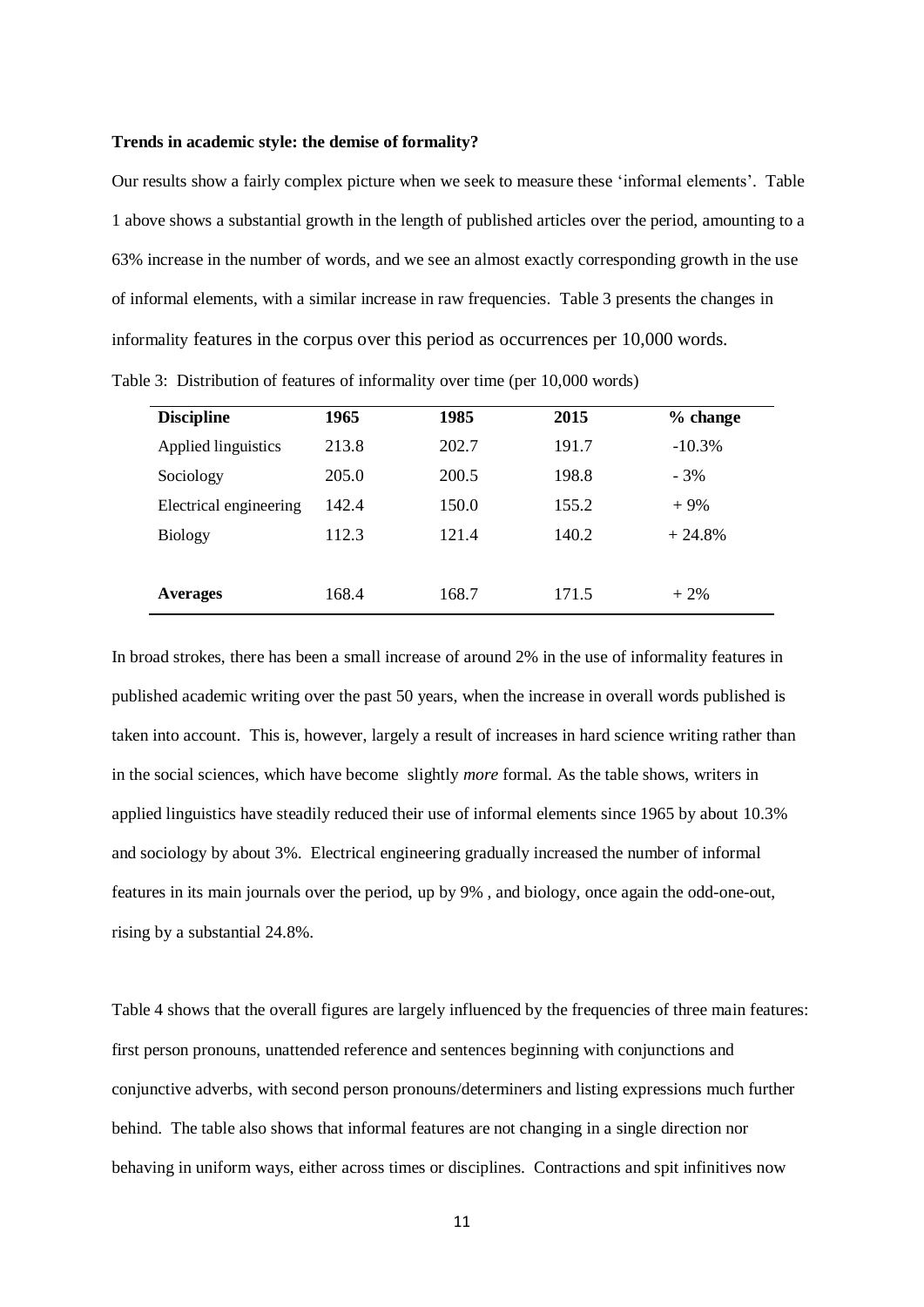#### **Trends in academic style: the demise of formality?**

Our results show a fairly complex picture when we seek to measure these 'informal elements'. Table 1 above shows a substantial growth in the length of published articles over the period, amounting to a 63% increase in the number of words, and we see an almost exactly corresponding growth in the use of informal elements, with a similar increase in raw frequencies. Table 3 presents the changes in informality features in the corpus over this period as occurrences per 10,000 words.

| <b>Discipline</b>      | 1965  | 1985  | 2015  | % change |
|------------------------|-------|-------|-------|----------|
| Applied linguistics    | 213.8 | 202.7 | 191.7 | $-10.3%$ |
| Sociology              | 205.0 | 200.5 | 198.8 | $-3%$    |
| Electrical engineering | 142.4 | 150.0 | 155.2 | $+9\%$   |
| <b>Biology</b>         | 112.3 | 121.4 | 140.2 | $+24.8%$ |
|                        |       |       |       |          |
| <b>Averages</b>        | 168.4 | 168.7 | 171.5 | $+2\%$   |

Table 3: Distribution of features of informality over time (per 10,000 words)

In broad strokes, there has been a small increase of around 2% in the use of informality features in published academic writing over the past 50 years, when the increase in overall words published is taken into account. This is, however, largely a result of increases in hard science writing rather than in the social sciences, which have become slightly *more* formal. As the table shows, writers in applied linguistics have steadily reduced their use of informal elements since 1965 by about 10.3% and sociology by about 3%. Electrical engineering gradually increased the number of informal features in its main journals over the period, up by 9% , and biology, once again the odd-one-out, rising by a substantial 24.8%.

Table 4 shows that the overall figures are largely influenced by the frequencies of three main features: first person pronouns, unattended reference and sentences beginning with conjunctions and conjunctive adverbs, with second person pronouns/determiners and listing expressions much further behind. The table also shows that informal features are not changing in a single direction nor behaving in uniform ways, either across times or disciplines. Contractions and spit infinitives now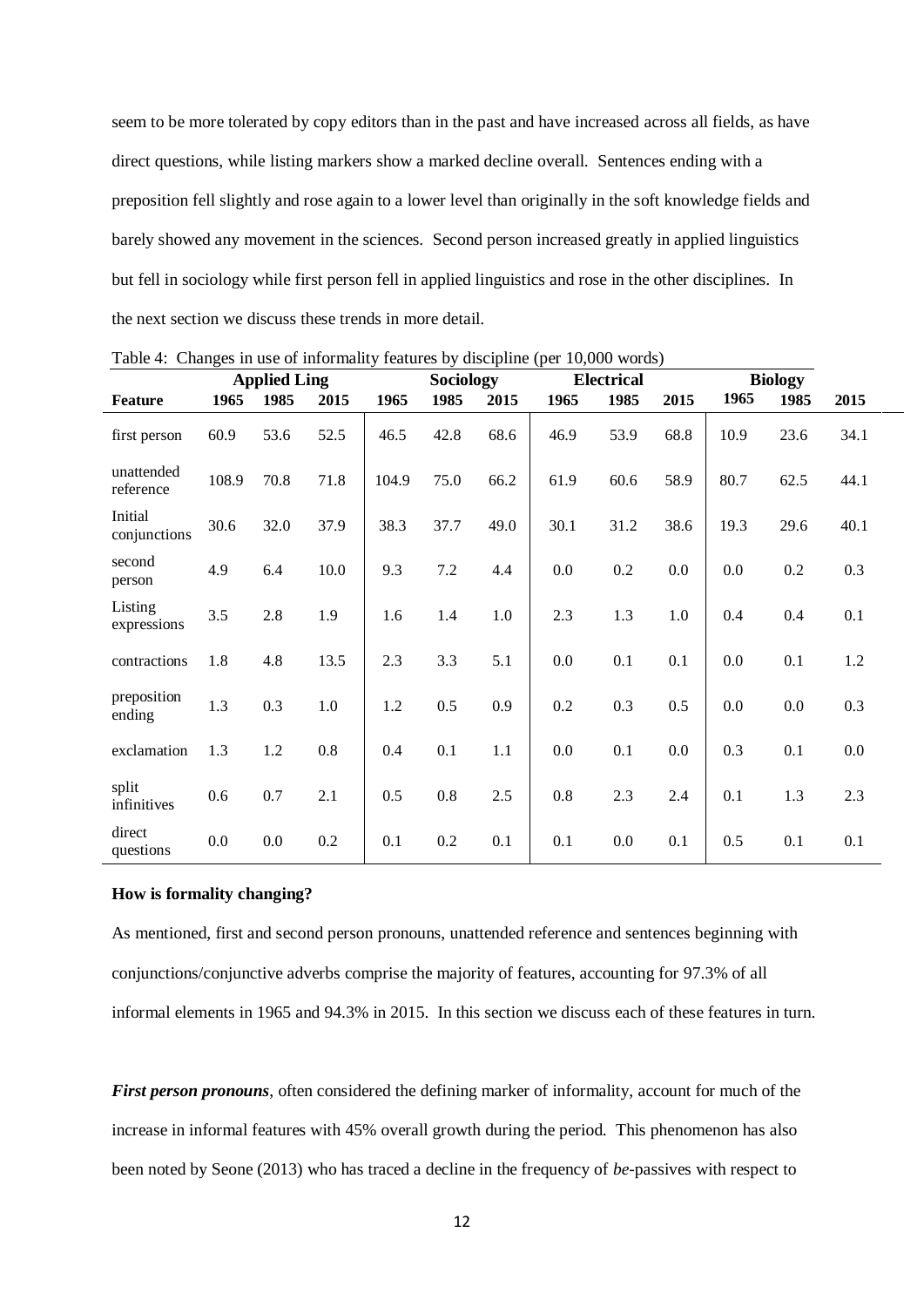seem to be more tolerated by copy editors than in the past and have increased across all fields, as have direct questions, while listing markers show a marked decline overall. Sentences ending with a preposition fell slightly and rose again to a lower level than originally in the soft knowledge fields and barely showed any movement in the sciences. Second person increased greatly in applied linguistics but fell in sociology while first person fell in applied linguistics and rose in the other disciplines. In the next section we discuss these trends in more detail.

|                         |       | <b>Applied Ling</b> |      |       | Sociology |      |      | <b>Electrical</b> |      |      | <b>Biology</b> |      |
|-------------------------|-------|---------------------|------|-------|-----------|------|------|-------------------|------|------|----------------|------|
| <b>Feature</b>          | 1965  | 1985                | 2015 | 1965  | 1985      | 2015 | 1965 | 1985              | 2015 | 1965 | 1985           | 2015 |
| first person            | 60.9  | 53.6                | 52.5 | 46.5  | 42.8      | 68.6 | 46.9 | 53.9              | 68.8 | 10.9 | 23.6           | 34.1 |
| unattended<br>reference | 108.9 | 70.8                | 71.8 | 104.9 | 75.0      | 66.2 | 61.9 | 60.6              | 58.9 | 80.7 | 62.5           | 44.1 |
| Initial<br>conjunctions | 30.6  | 32.0                | 37.9 | 38.3  | 37.7      | 49.0 | 30.1 | 31.2              | 38.6 | 19.3 | 29.6           | 40.1 |
| second<br>person        | 4.9   | 6.4                 | 10.0 | 9.3   | 7.2       | 4.4  | 0.0  | 0.2               | 0.0  | 0.0  | 0.2            | 0.3  |
| Listing<br>expressions  | 3.5   | 2.8                 | 1.9  | 1.6   | 1.4       | 1.0  | 2.3  | 1.3               | 1.0  | 0.4  | 0.4            | 0.1  |
| contractions            | 1.8   | 4.8                 | 13.5 | 2.3   | 3.3       | 5.1  | 0.0  | 0.1               | 0.1  | 0.0  | 0.1            | 1.2  |
| preposition<br>ending   | 1.3   | 0.3                 | 1.0  | 1.2   | 0.5       | 0.9  | 0.2  | 0.3               | 0.5  | 0.0  | 0.0            | 0.3  |
| exclamation             | 1.3   | 1.2                 | 0.8  | 0.4   | 0.1       | 1.1  | 0.0  | 0.1               | 0.0  | 0.3  | 0.1            | 0.0  |
| split<br>infinitives    | 0.6   | 0.7                 | 2.1  | 0.5   | $0.8\,$   | 2.5  | 0.8  | 2.3               | 2.4  | 0.1  | 1.3            | 2.3  |
| direct<br>questions     | 0.0   | 0.0                 | 0.2  | 0.1   | 0.2       | 0.1  | 0.1  | 0.0               | 0.1  | 0.5  | 0.1            | 0.1  |

Table 4: Changes in use of informality features by discipline (per 10,000 words)

# **How is formality changing?**

As mentioned, first and second person pronouns, unattended reference and sentences beginning with conjunctions/conjunctive adverbs comprise the majority of features, accounting for 97.3% of all informal elements in 1965 and 94.3% in 2015. In this section we discuss each of these features in turn.

*First person pronouns*, often considered the defining marker of informality, account for much of the increase in informal features with 45% overall growth during the period. This phenomenon has also been noted by Seone (2013) who has traced a decline in the frequency of *be*-passives with respect to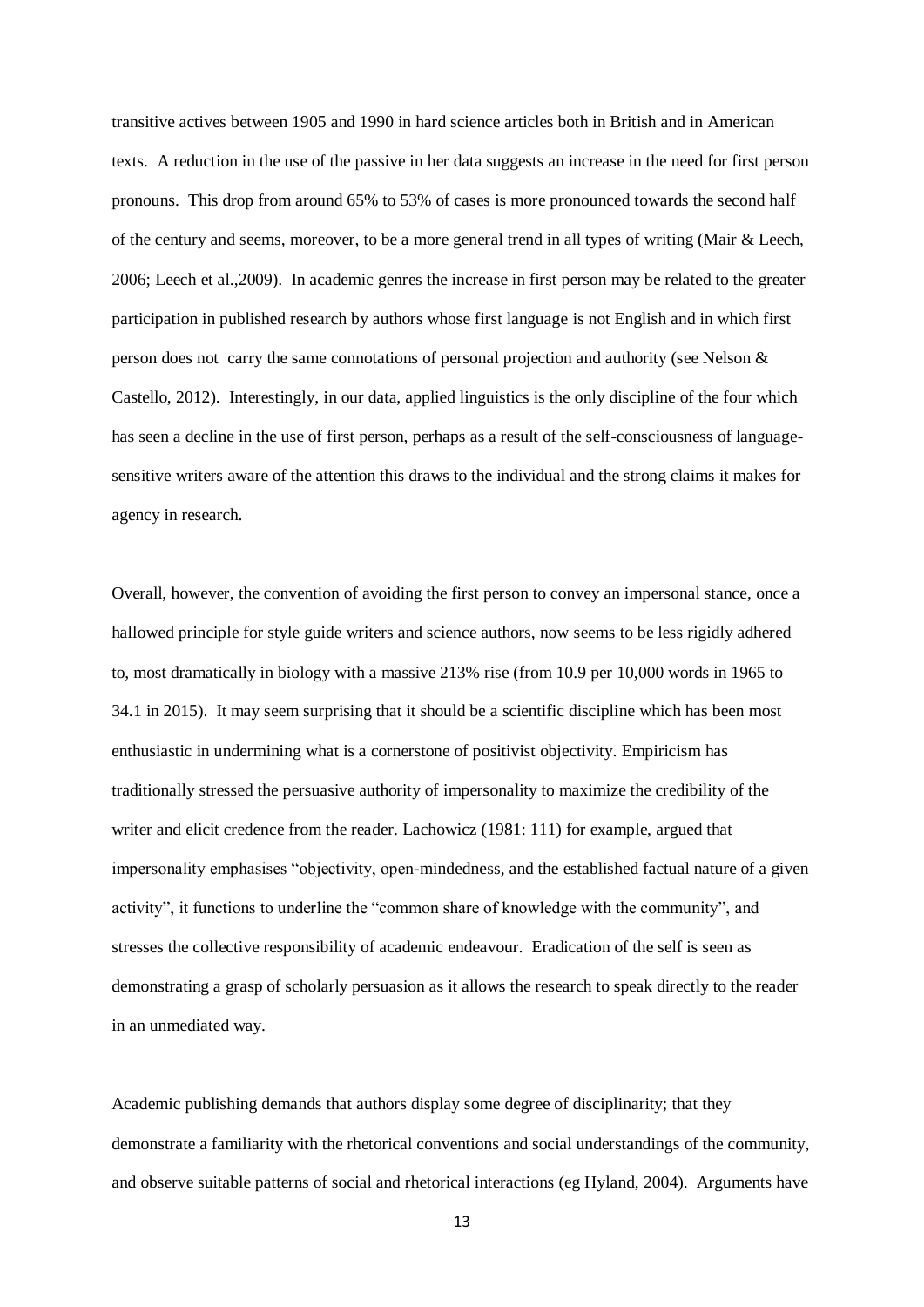transitive actives between 1905 and 1990 in hard science articles both in British and in American texts. A reduction in the use of the passive in her data suggests an increase in the need for first person pronouns. This drop from around 65% to 53% of cases is more pronounced towards the second half of the century and seems, moreover, to be a more general trend in all types of writing (Mair & Leech, 2006; Leech et al.,2009). In academic genres the increase in first person may be related to the greater participation in published research by authors whose first language is not English and in which first person does not carry the same connotations of personal projection and authority (see Nelson & Castello, 2012). Interestingly, in our data, applied linguistics is the only discipline of the four which has seen a decline in the use of first person, perhaps as a result of the self-consciousness of languagesensitive writers aware of the attention this draws to the individual and the strong claims it makes for agency in research.

Overall, however, the convention of avoiding the first person to convey an impersonal stance, once a hallowed principle for style guide writers and science authors, now seems to be less rigidly adhered to, most dramatically in biology with a massive 213% rise (from 10.9 per 10,000 words in 1965 to 34.1 in 2015). It may seem surprising that it should be a scientific discipline which has been most enthusiastic in undermining what is a cornerstone of positivist objectivity. Empiricism has traditionally stressed the persuasive authority of impersonality to maximize the credibility of the writer and elicit credence from the reader. Lachowicz (1981: 111) for example, argued that impersonality emphasises "objectivity, open-mindedness, and the established factual nature of a given activity", it functions to underline the "common share of knowledge with the community", and stresses the collective responsibility of academic endeavour. Eradication of the self is seen as demonstrating a grasp of scholarly persuasion as it allows the research to speak directly to the reader in an unmediated way.

Academic publishing demands that authors display some degree of disciplinarity; that they demonstrate a familiarity with the rhetorical conventions and social understandings of the community, and observe suitable patterns of social and rhetorical interactions (eg Hyland, 2004). Arguments have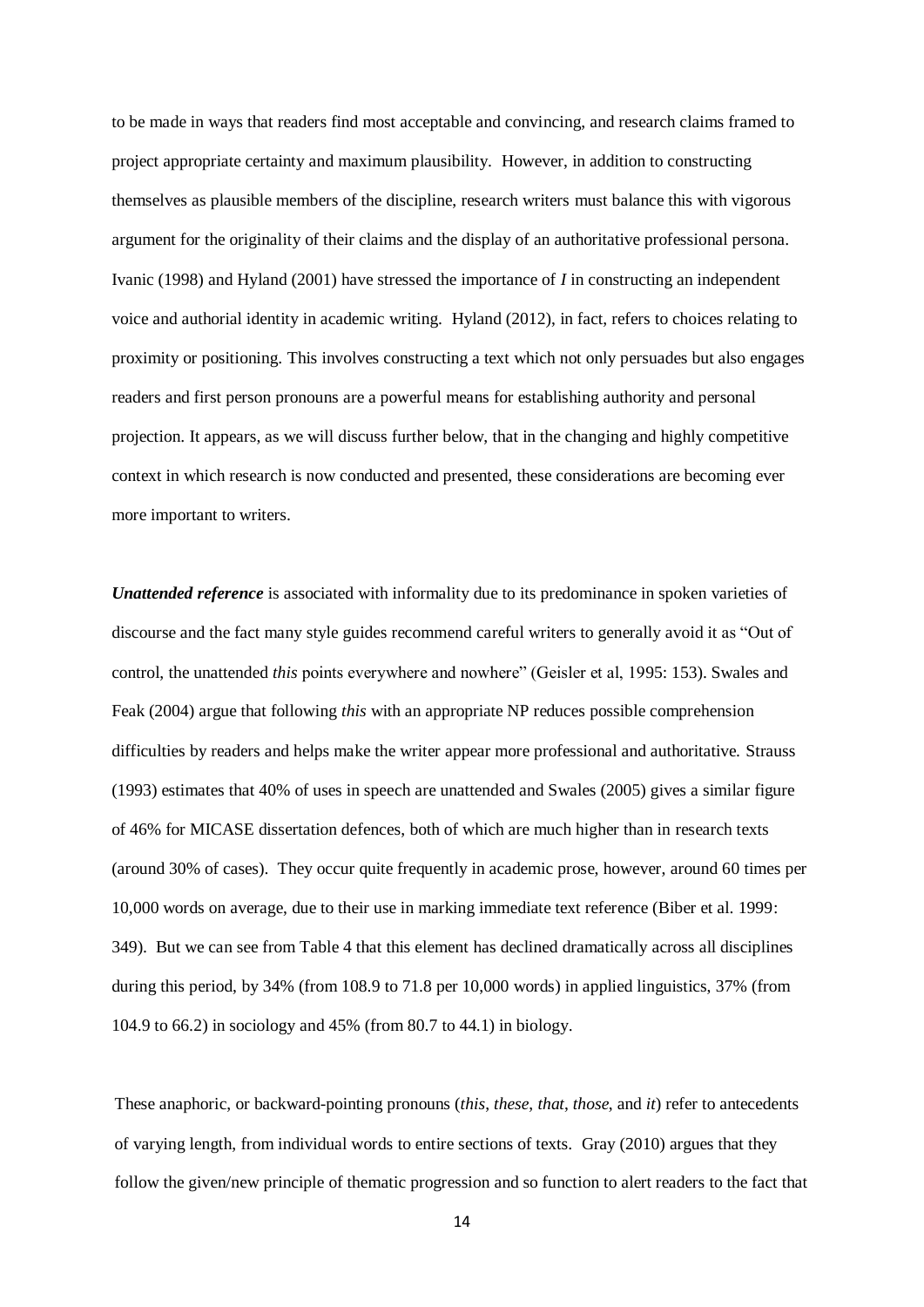to be made in ways that readers find most acceptable and convincing, and research claims framed to project appropriate certainty and maximum plausibility. However, in addition to constructing themselves as plausible members of the discipline, research writers must balance this with vigorous argument for the originality of their claims and the display of an authoritative professional persona. Ivanic (1998) and Hyland (2001) have stressed the importance of *I* in constructing an independent voice and authorial identity in academic writing. Hyland (2012), in fact, refers to choices relating to proximity or positioning. This involves constructing a text which not only persuades but also engages readers and first person pronouns are a powerful means for establishing authority and personal projection. It appears, as we will discuss further below, that in the changing and highly competitive context in which research is now conducted and presented, these considerations are becoming ever more important to writers.

*Unattended reference* is associated with informality due to its predominance in spoken varieties of discourse and the fact many style guides recommend careful writers to generally avoid it as "Out of control, the unattended *this* points everywhere and nowhere" (Geisler et al, 1995: 153). Swales and Feak (2004) argue that following *this* with an appropriate NP reduces possible comprehension difficulties by readers and helps make the writer appear more professional and authoritative. Strauss (1993) estimates that 40% of uses in speech are unattended and Swales (2005) gives a similar figure of 46% for MICASE dissertation defences, both of which are much higher than in research texts (around 30% of cases). They occur quite frequently in academic prose, however, around 60 times per 10,000 words on average, due to their use in marking immediate text reference (Biber et al. 1999: 349). But we can see from Table 4 that this element has declined dramatically across all disciplines during this period, by 34% (from 108.9 to 71.8 per 10,000 words) in applied linguistics, 37% (from 104.9 to 66.2) in sociology and 45% (from 80.7 to 44.1) in biology.

These anaphoric, or backward-pointing pronouns (*this*, *these*, *that*, *those*, and *it*) refer to antecedents of varying length, from individual words to entire sections of texts. Gray (2010) argues that they follow the given/new principle of thematic progression and so function to alert readers to the fact that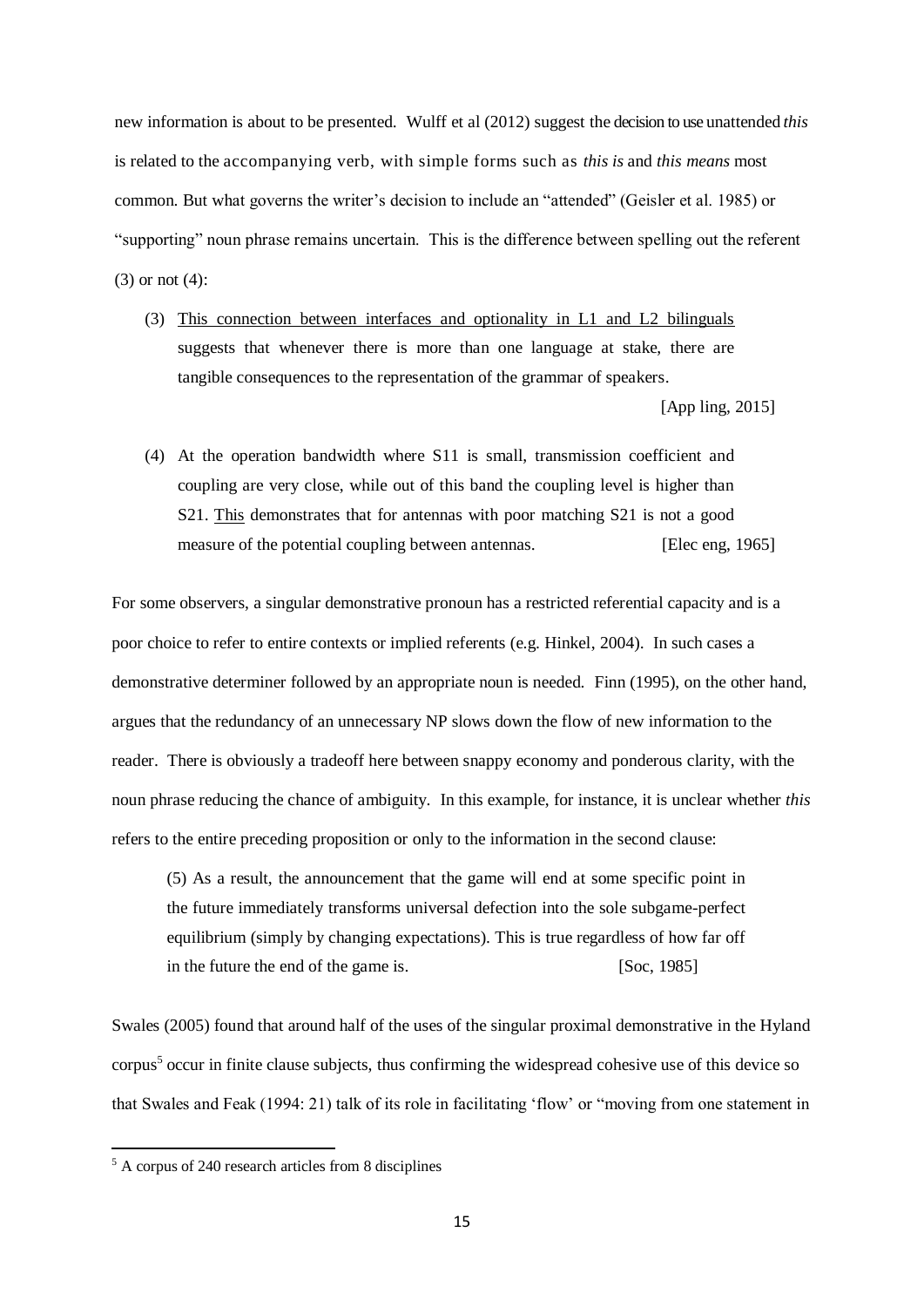new information is about to be presented. Wulff et al (2012) suggest the decision to use unattended *this* is related to the accompanying verb, with simple forms such as *this is* and *this means* most common. But what governs the writer's decision to include an "attended" (Geisler et al. 1985) or "supporting" noun phrase remains uncertain. This is the difference between spelling out the referent (3) or not (4):

(3) This connection between interfaces and optionality in L1 and L2 bilinguals suggests that whenever there is more than one language at stake, there are tangible consequences to the representation of the grammar of speakers.

[App ling, 2015]

(4) At the operation bandwidth where S11 is small, transmission coefficient and coupling are very close, while out of this band the coupling level is higher than S21. This demonstrates that for antennas with poor matching S21 is not a good measure of the potential coupling between antennas. [Elec eng, 1965]

For some observers, a singular demonstrative pronoun has a restricted referential capacity and is a poor choice to refer to entire contexts or implied referents (e.g. Hinkel, 2004). In such cases a demonstrative determiner followed by an appropriate noun is needed. Finn (1995), on the other hand, argues that the redundancy of an unnecessary NP slows down the flow of new information to the reader. There is obviously a tradeoff here between snappy economy and ponderous clarity, with the noun phrase reducing the chance of ambiguity. In this example, for instance, it is unclear whether *this* refers to the entire preceding proposition or only to the information in the second clause:

(5) As a result, the announcement that the game will end at some specific point in the future immediately transforms universal defection into the sole subgame-perfect equilibrium (simply by changing expectations). This is true regardless of how far off in the future the end of the game is. [Soc, 1985]

Swales (2005) found that around half of the uses of the singular proximal demonstrative in the Hyland corpus<sup>5</sup> occur in finite clause subjects, thus confirming the widespread cohesive use of this device so that Swales and Feak (1994: 21) talk of its role in facilitating 'flow' or "moving from one statement in

-

 $5$  A corpus of 240 research articles from 8 disciplines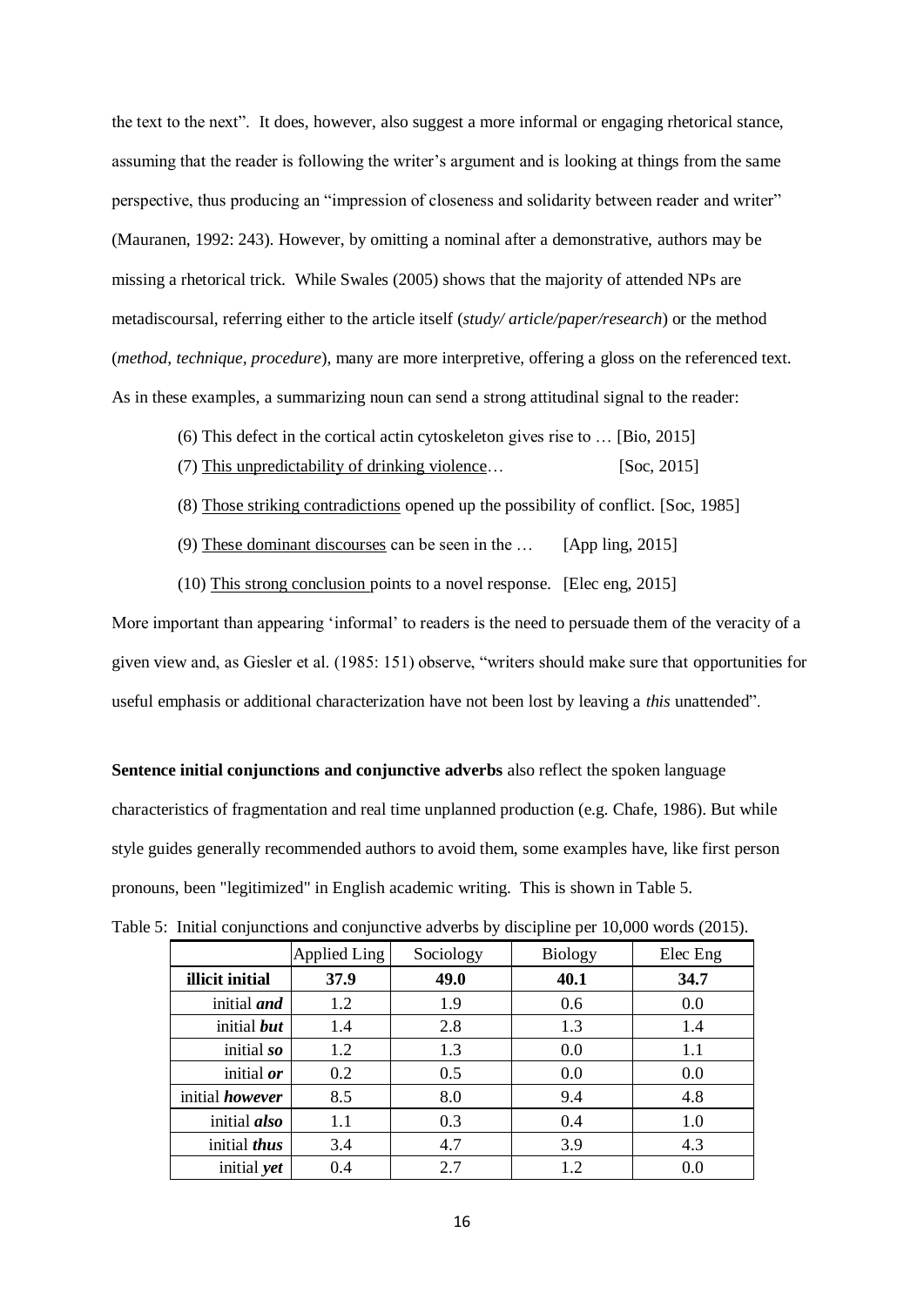the text to the next". It does, however, also suggest a more informal or engaging rhetorical stance, assuming that the reader is following the writer's argument and is looking at things from the same perspective, thus producing an "impression of closeness and solidarity between reader and writer" (Mauranen, 1992: 243). However, by omitting a nominal after a demonstrative, authors may be missing a rhetorical trick. While Swales (2005) shows that the majority of attended NPs are metadiscoursal, referring either to the article itself (*study/ article/paper/research*) or the method (*method, technique, procedure*), many are more interpretive, offering a gloss on the referenced text. As in these examples, a summarizing noun can send a strong attitudinal signal to the reader:

(6) This defect in the cortical actin cytoskeleton gives rise to … [Bio, 2015]

- (7) This unpredictability of drinking violence… [Soc, 2015]
- (8) Those striking contradictions opened up the possibility of conflict. [Soc, 1985]
- (9) These dominant discourses can be seen in the … [App ling, 2015]

(10) This strong conclusion points to a novel response. [Elec eng, 2015]

More important than appearing 'informal' to readers is the need to persuade them of the veracity of a given view and, as Giesler et al. (1985: 151) observe, "writers should make sure that opportunities for useful emphasis or additional characterization have not been lost by leaving a *this* unattended".

#### **Sentence initial conjunctions and conjunctive adverbs** also reflect the spoken language

characteristics of fragmentation and real time unplanned production (e.g. Chafe, 1986). But while style guides generally recommended authors to avoid them, some examples have, like first person pronouns, been "legitimized" in English academic writing. This is shown in Table 5.

|                        | <b>Applied Ling</b> | Sociology | <b>Biology</b> | Elec Eng |
|------------------------|---------------------|-----------|----------------|----------|
| illicit initial        | 37.9                | 49.0      | 40.1           | 34.7     |
| initial <i>and</i>     | 1.2                 | 1.9       | 0.6            | 0.0      |
| initial <i>but</i>     | 1.4                 | 2.8       | 1.3            | 1.4      |
| initial so             | 1.2                 | 1.3       | 0.0            | 1.1      |
| initial or             | 0.2                 | 0.5       | 0.0            | 0.0      |
| initial <i>however</i> | 8.5                 | 8.0       | 9.4            | 4.8      |
| initial also           | 1.1                 | 0.3       | 0.4            | 1.0      |
| initial <i>thus</i>    | 3.4                 | 4.7       | 3.9            | 4.3      |
| initial yet            | 0.4                 | 2.7       | 1.2            | 0.0      |

Table 5: Initial conjunctions and conjunctive adverbs by discipline per 10,000 words (2015).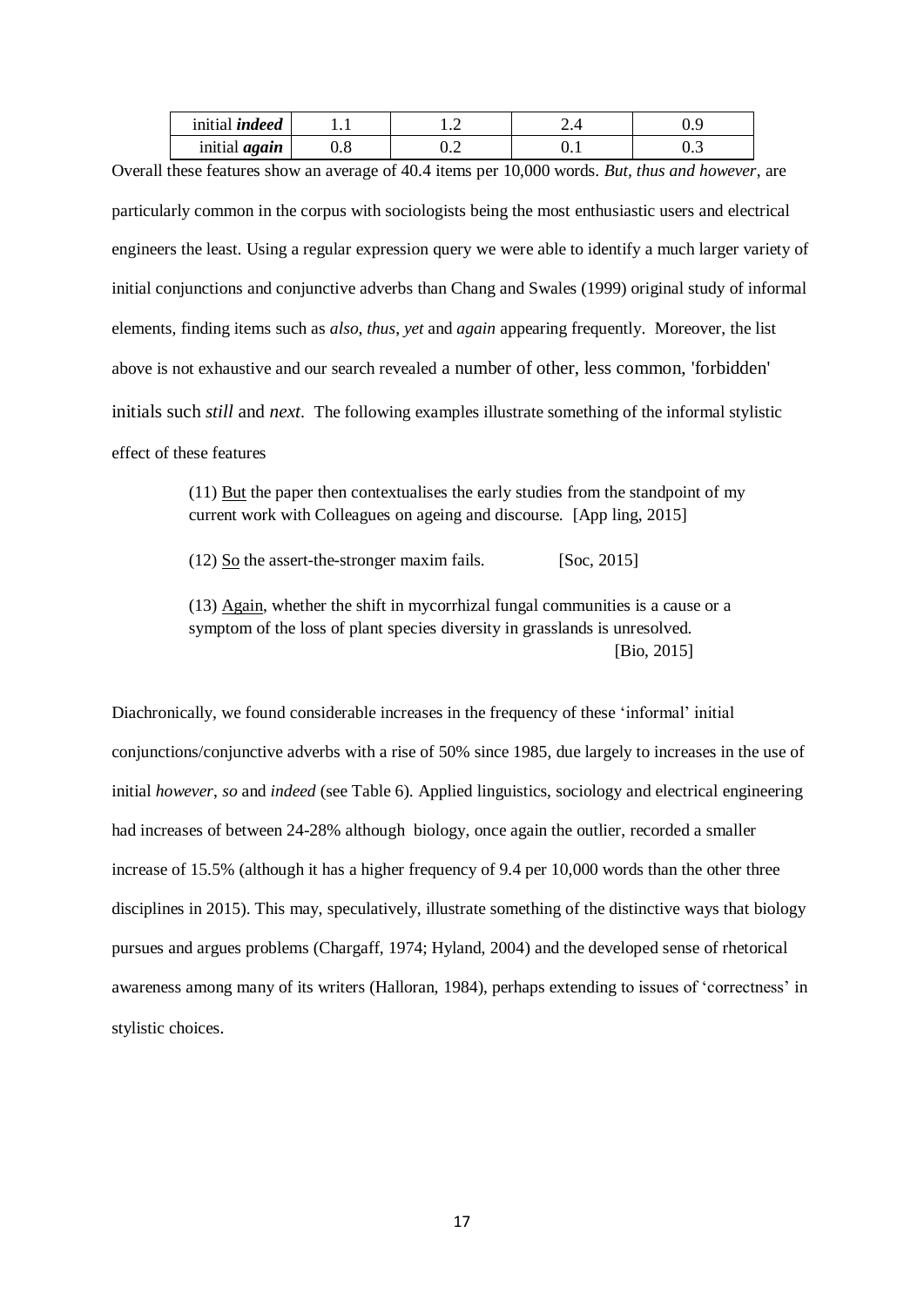| initial <i>indeed</i> | .   | .   |     |   |
|-----------------------|-----|-----|-----|---|
| initial <i>again</i>  | u.o | ◡.∠ | v.i | ິ |

Overall these features show an average of 40.4 items per 10,000 words. *But, thus and however*, are particularly common in the corpus with sociologists being the most enthusiastic users and electrical engineers the least. Using a regular expression query we were able to identify a much larger variety of initial conjunctions and conjunctive adverbs than Chang and Swales (1999) original study of informal elements, finding items such as *also*, *thus*, *yet* and *again* appearing frequently. Moreover, the list above is not exhaustive and our search revealed a number of other, less common, 'forbidden' initials such *still* and *next*. The following examples illustrate something of the informal stylistic effect of these features

> (11) But the paper then contextualises the early studies from the standpoint of my current work with Colleagues on ageing and discourse. [App ling, 2015]

(12) So the assert-the-stronger maxim fails. [Soc, 2015]

(13) Again, whether the shift in mycorrhizal fungal communities is a cause or a symptom of the loss of plant species diversity in grasslands is unresolved. [Bio, 2015]

Diachronically, we found considerable increases in the frequency of these 'informal' initial conjunctions/conjunctive adverbs with a rise of 50% since 1985, due largely to increases in the use of initial *however*, *so* and *indeed* (see Table 6). Applied linguistics, sociology and electrical engineering had increases of between 24-28% although biology, once again the outlier, recorded a smaller increase of 15.5% (although it has a higher frequency of 9.4 per 10,000 words than the other three disciplines in 2015). This may, speculatively, illustrate something of the distinctive ways that biology pursues and argues problems (Chargaff, 1974; Hyland, 2004) and the developed sense of rhetorical awareness among many of its writers (Halloran, 1984), perhaps extending to issues of 'correctness' in stylistic choices.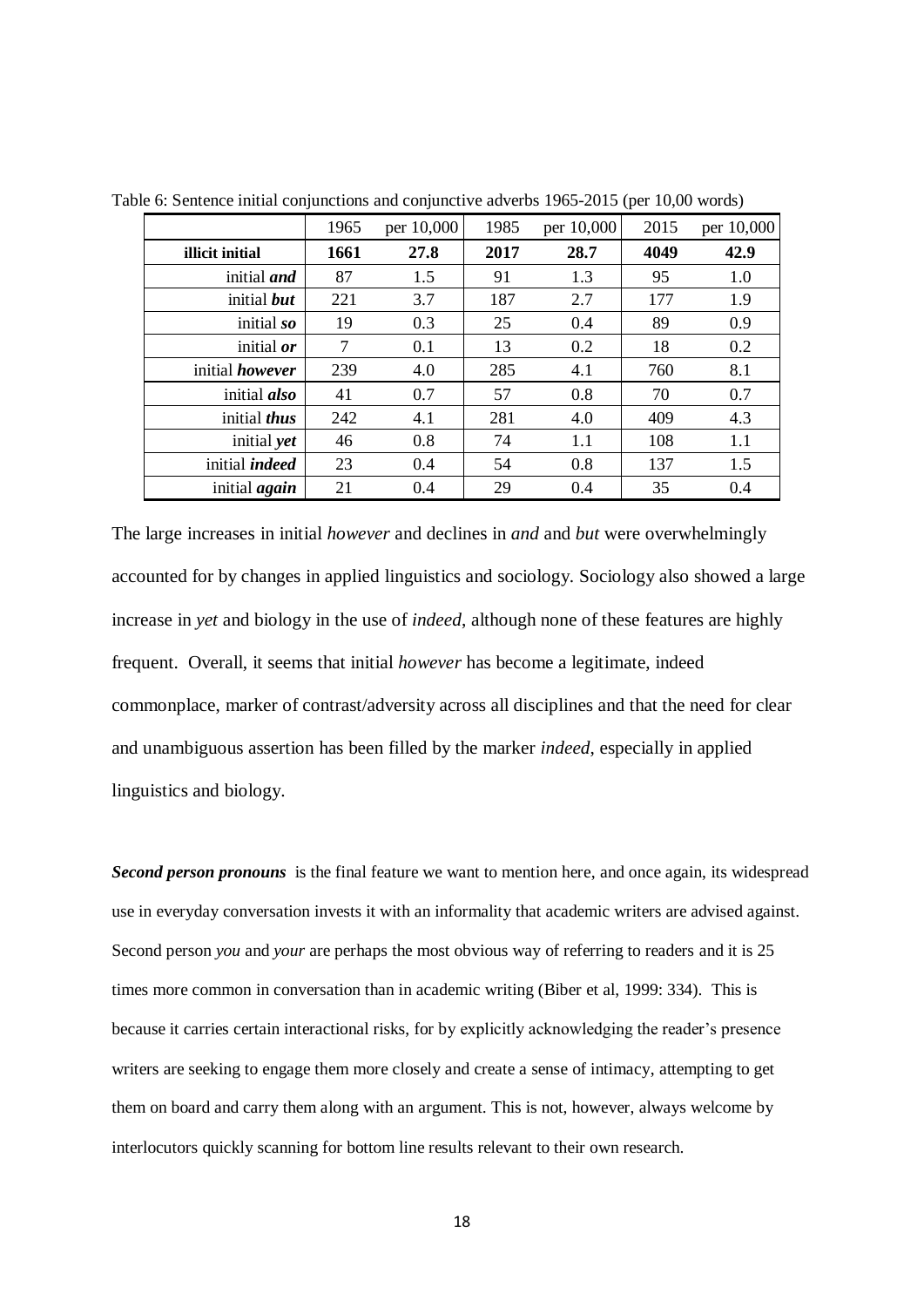|                        | 1965 | per 10,000 | 1985 | per 10,000 | 2015 | per 10,000 |
|------------------------|------|------------|------|------------|------|------------|
| illicit initial        | 1661 | 27.8       | 2017 | 28.7       | 4049 | 42.9       |
| initial <i>and</i>     | 87   | 1.5        | 91   | 1.3        | 95   | 1.0        |
| initial <i>but</i>     | 221  | 3.7        | 187  | 2.7        | 177  | 1.9        |
| initial so             | 19   | 0.3        | 25   | 0.4        | 89   | 0.9        |
| initial or             | 7    | 0.1        | 13   | 0.2        | 18   | 0.2        |
| initial <i>however</i> | 239  | 4.0        | 285  | 4.1        | 760  | 8.1        |
| initial <i>also</i>    | 41   | 0.7        | 57   | 0.8        | 70   | 0.7        |
| initial <i>thus</i>    | 242  | 4.1        | 281  | 4.0        | 409  | 4.3        |
| initial yet            | 46   | 0.8        | 74   | 1.1        | 108  | 1.1        |
| initial <i>indeed</i>  | 23   | 0.4        | 54   | 0.8        | 137  | 1.5        |
| initial <i>again</i>   | 21   | 0.4        | 29   | 0.4        | 35   | 0.4        |

Table 6: Sentence initial conjunctions and conjunctive adverbs 1965-2015 (per 10.00 words)

The large increases in initial *however* and declines in *and* and *but* were overwhelmingly accounted for by changes in applied linguistics and sociology. Sociology also showed a large increase in *yet* and biology in the use of *indeed*, although none of these features are highly frequent. Overall, it seems that initial *however* has become a legitimate, indeed commonplace, marker of contrast/adversity across all disciplines and that the need for clear and unambiguous assertion has been filled by the marker *indeed*, especially in applied linguistics and biology.

*Second person pronouns* is the final feature we want to mention here, and once again, its widespread use in everyday conversation invests it with an informality that academic writers are advised against. Second person *you* and *your* are perhaps the most obvious way of referring to readers and it is 25 times more common in conversation than in academic writing (Biber et al, 1999: 334). This is because it carries certain interactional risks, for by explicitly acknowledging the reader's presence writers are seeking to engage them more closely and create a sense of intimacy, attempting to get them on board and carry them along with an argument. This is not, however, always welcome by interlocutors quickly scanning for bottom line results relevant to their own research.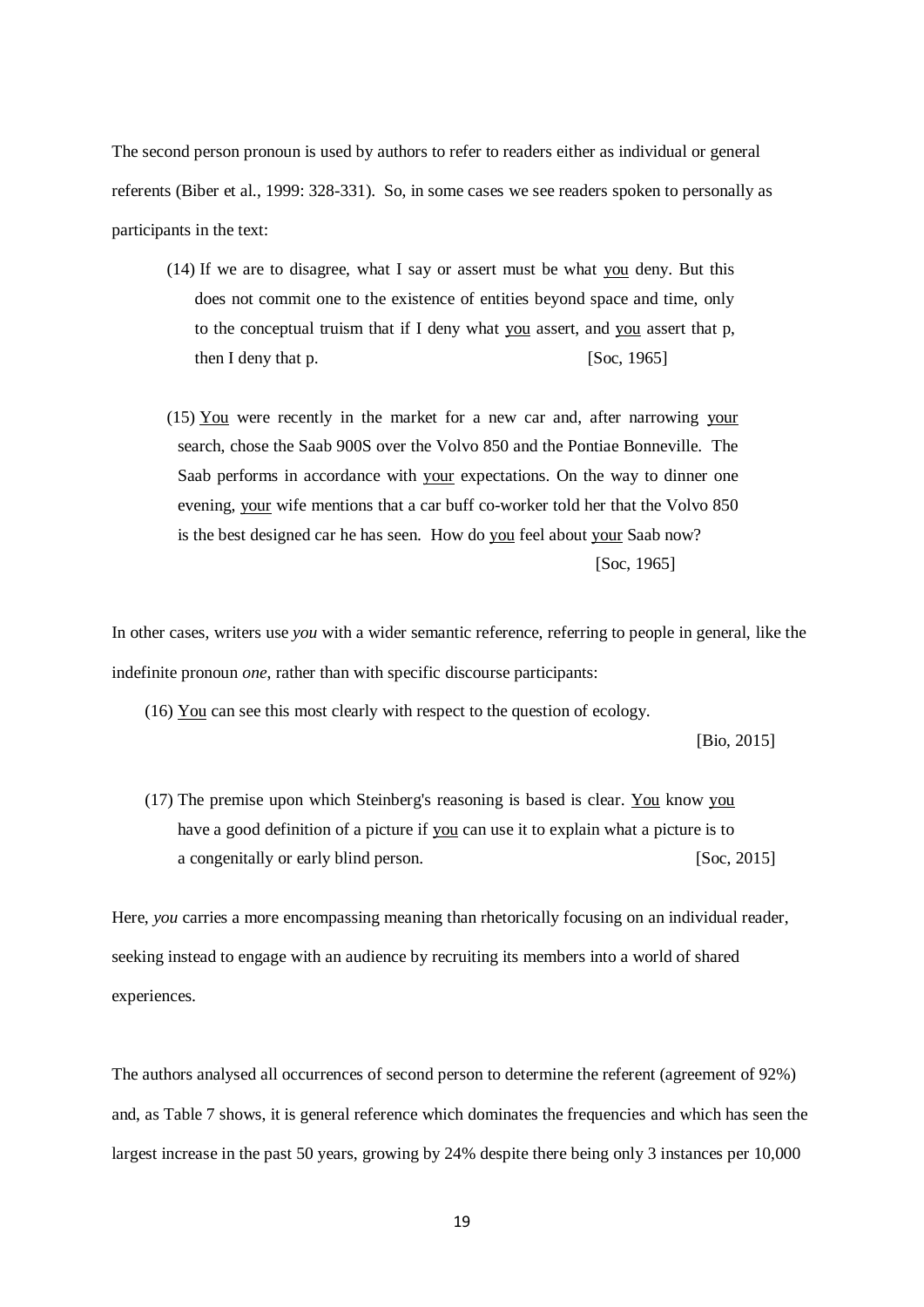The second person pronoun is used by authors to refer to readers either as individual or general referents (Biber et al., 1999: 328-331). So, in some cases we see readers spoken to personally as participants in the text:

- (14) If we are to disagree, what I say or assert must be what you deny. But this does not commit one to the existence of entities beyond space and time, only to the conceptual truism that if I deny what you assert, and you assert that p, then I deny that p. [Soc, 1965]
- (15) You were recently in the market for a new car and, after narrowing your search, chose the Saab 900S over the Volvo 850 and the Pontiae Bonneville. The Saab performs in accordance with your expectations. On the way to dinner one evening, your wife mentions that a car buff co-worker told her that the Volvo 850 is the best designed car he has seen. How do you feel about your Saab now?

[Soc, 1965]

In other cases, writers use *you* with a wider semantic reference, referring to people in general, like the indefinite pronoun *one*, rather than with specific discourse participants:

(16) You can see this most clearly with respect to the question of ecology.

[Bio, 2015]

(17) The premise upon which Steinberg's reasoning is based is clear. You know you have a good definition of a picture if you can use it to explain what a picture is to a congenitally or early blind person. [Soc, 2015]

Here, *you* carries a more encompassing meaning than rhetorically focusing on an individual reader, seeking instead to engage with an audience by recruiting its members into a world of shared experiences.

The authors analysed all occurrences of second person to determine the referent (agreement of 92%) and, as Table 7 shows, it is general reference which dominates the frequencies and which has seen the largest increase in the past 50 years, growing by 24% despite there being only 3 instances per 10,000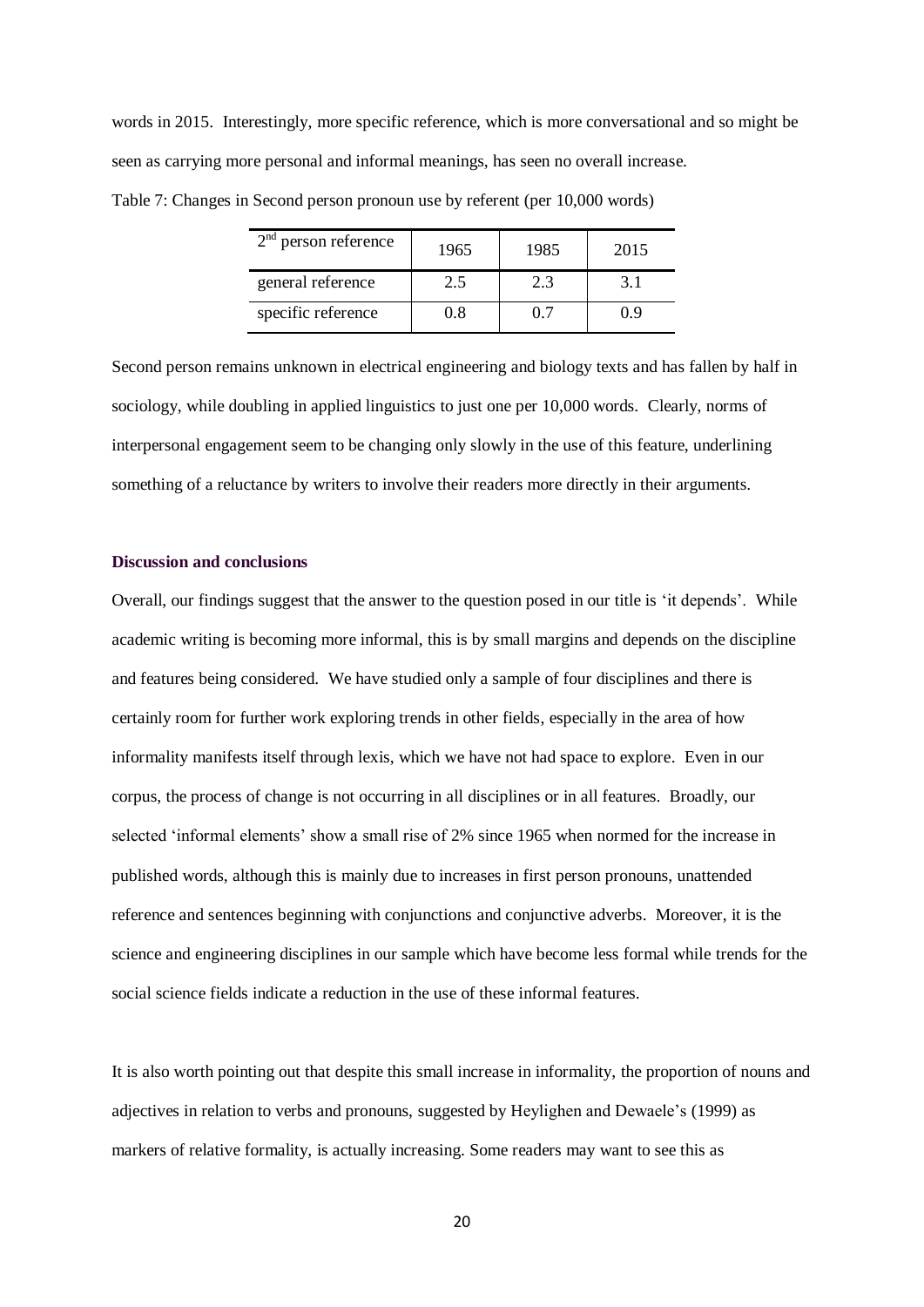words in 2015. Interestingly, more specific reference, which is more conversational and so might be seen as carrying more personal and informal meanings, has seen no overall increase.

| 2 <sup>nd</sup><br>person reference | 1965 | 1985         | 2015 |
|-------------------------------------|------|--------------|------|
| general reference                   | 25   | 2.3          |      |
| specific reference                  | ) X  | $\mathbf{d}$ |      |

Table 7: Changes in Second person pronoun use by referent (per 10,000 words)

Second person remains unknown in electrical engineering and biology texts and has fallen by half in sociology, while doubling in applied linguistics to just one per 10,000 words. Clearly, norms of interpersonal engagement seem to be changing only slowly in the use of this feature, underlining something of a reluctance by writers to involve their readers more directly in their arguments.

#### **Discussion and conclusions**

Overall, our findings suggest that the answer to the question posed in our title is 'it depends'. While academic writing is becoming more informal, this is by small margins and depends on the discipline and features being considered. We have studied only a sample of four disciplines and there is certainly room for further work exploring trends in other fields, especially in the area of how informality manifests itself through lexis, which we have not had space to explore. Even in our corpus, the process of change is not occurring in all disciplines or in all features. Broadly, our selected 'informal elements' show a small rise of 2% since 1965 when normed for the increase in published words, although this is mainly due to increases in first person pronouns, unattended reference and sentences beginning with conjunctions and conjunctive adverbs. Moreover, it is the science and engineering disciplines in our sample which have become less formal while trends for the social science fields indicate a reduction in the use of these informal features.

It is also worth pointing out that despite this small increase in informality, the proportion of nouns and adjectives in relation to verbs and pronouns, suggested by Heylighen and Dewaele's (1999) as markers of relative formality, is actually increasing. Some readers may want to see this as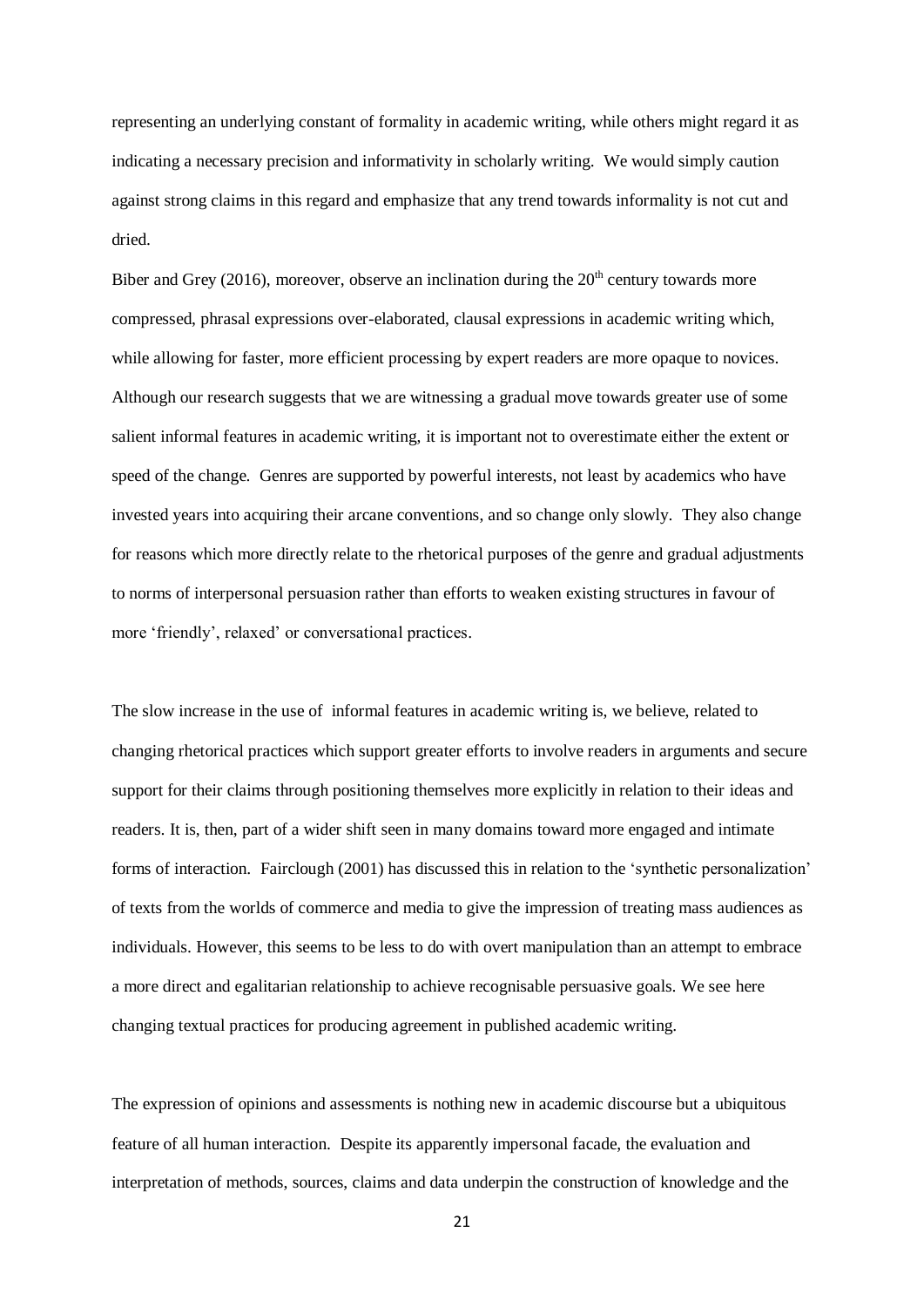representing an underlying constant of formality in academic writing, while others might regard it as indicating a necessary precision and informativity in scholarly writing. We would simply caution against strong claims in this regard and emphasize that any trend towards informality is not cut and dried.

Biber and Grey (2016), moreover, observe an inclination during the  $20<sup>th</sup>$  century towards more compressed, phrasal expressions over-elaborated, clausal expressions in academic writing which, while allowing for faster, more efficient processing by expert readers are more opaque to novices. Although our research suggests that we are witnessing a gradual move towards greater use of some salient informal features in academic writing, it is important not to overestimate either the extent or speed of the change. Genres are supported by powerful interests, not least by academics who have invested years into acquiring their arcane conventions, and so change only slowly. They also change for reasons which more directly relate to the rhetorical purposes of the genre and gradual adjustments to norms of interpersonal persuasion rather than efforts to weaken existing structures in favour of more 'friendly', relaxed' or conversational practices.

The slow increase in the use of informal features in academic writing is, we believe, related to changing rhetorical practices which support greater efforts to involve readers in arguments and secure support for their claims through positioning themselves more explicitly in relation to their ideas and readers. It is, then, part of a wider shift seen in many domains toward more engaged and intimate forms of interaction. Fairclough (2001) has discussed this in relation to the 'synthetic personalization' of texts from the worlds of commerce and media to give the impression of treating mass audiences as individuals. However, this seems to be less to do with overt manipulation than an attempt to embrace a more direct and egalitarian relationship to achieve recognisable persuasive goals. We see here changing textual practices for producing agreement in published academic writing.

The expression of opinions and assessments is nothing new in academic discourse but a ubiquitous feature of all human interaction. Despite its apparently impersonal facade, the evaluation and interpretation of methods, sources, claims and data underpin the construction of knowledge and the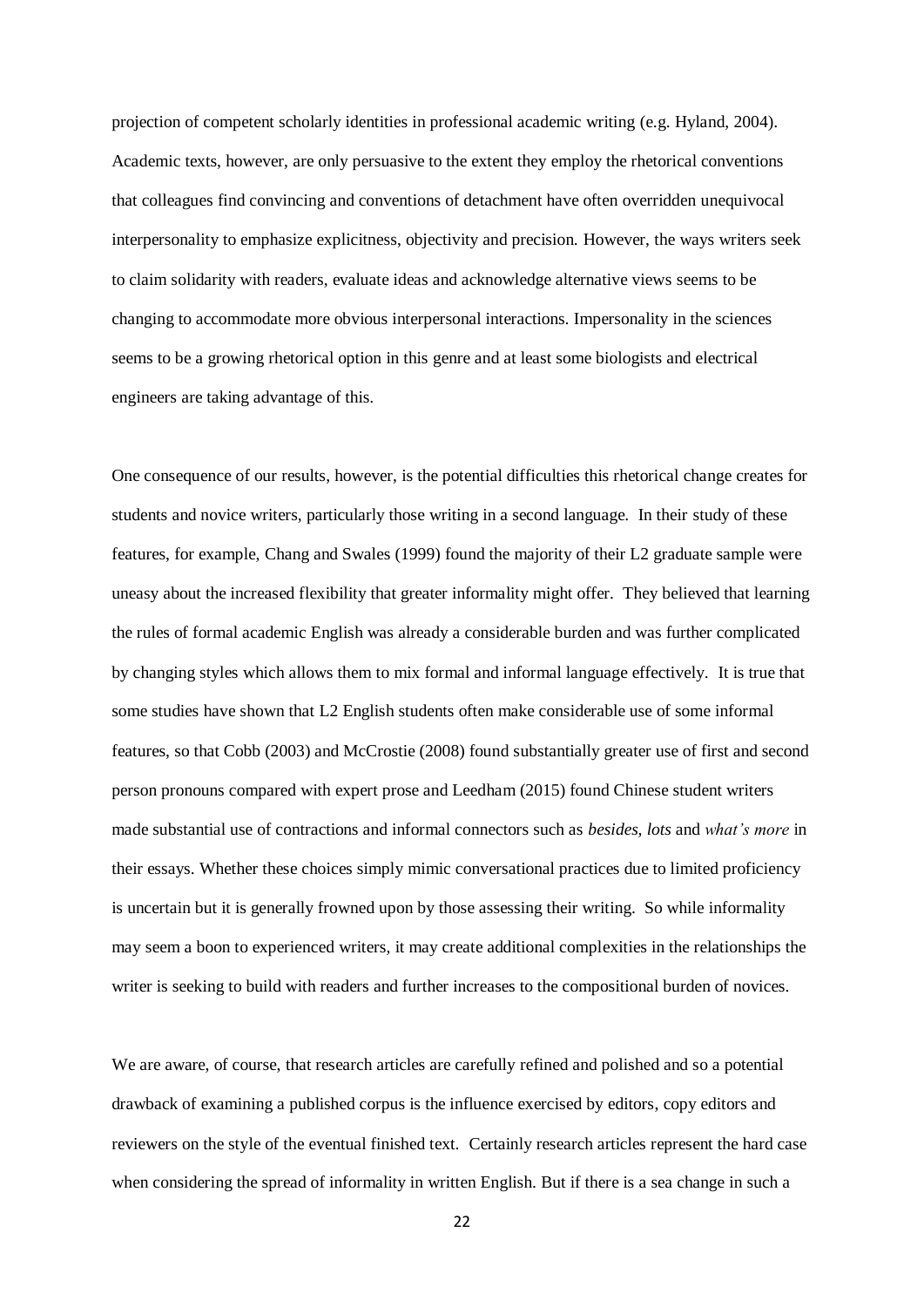projection of competent scholarly identities in professional academic writing (e.g. Hyland, 2004). Academic texts, however, are only persuasive to the extent they employ the rhetorical conventions that colleagues find convincing and conventions of detachment have often overridden unequivocal interpersonality to emphasize explicitness, objectivity and precision. However, the ways writers seek to claim solidarity with readers, evaluate ideas and acknowledge alternative views seems to be changing to accommodate more obvious interpersonal interactions. Impersonality in the sciences seems to be a growing rhetorical option in this genre and at least some biologists and electrical engineers are taking advantage of this.

One consequence of our results, however, is the potential difficulties this rhetorical change creates for students and novice writers, particularly those writing in a second language. In their study of these features, for example, Chang and Swales (1999) found the majority of their L2 graduate sample were uneasy about the increased flexibility that greater informality might offer. They believed that learning the rules of formal academic English was already a considerable burden and was further complicated by changing styles which allows them to mix formal and informal language effectively. It is true that some studies have shown that L2 English students often make considerable use of some informal features, so that Cobb (2003) and McCrostie (2008) found substantially greater use of first and second person pronouns compared with expert prose and Leedham (2015) found Chinese student writers made substantial use of contractions and informal connectors such as *besides, lots* and *what's more* in their essays. Whether these choices simply mimic conversational practices due to limited proficiency is uncertain but it is generally frowned upon by those assessing their writing. So while informality may seem a boon to experienced writers, it may create additional complexities in the relationships the writer is seeking to build with readers and further increases to the compositional burden of novices.

We are aware, of course, that research articles are carefully refined and polished and so a potential drawback of examining a published corpus is the influence exercised by editors, copy editors and reviewers on the style of the eventual finished text. Certainly research articles represent the hard case when considering the spread of informality in written English. But if there is a sea change in such a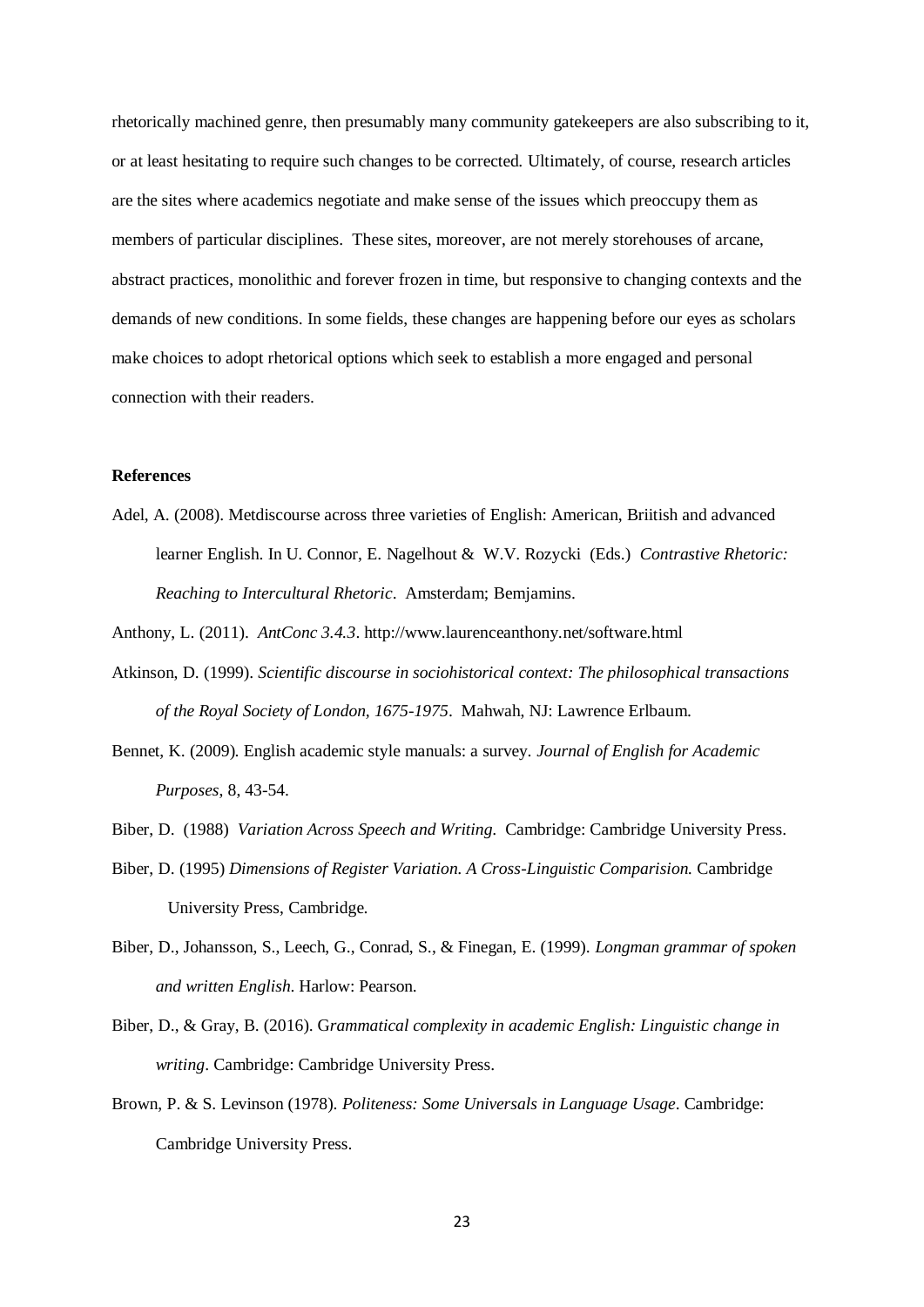rhetorically machined genre, then presumably many community gatekeepers are also subscribing to it, or at least hesitating to require such changes to be corrected. Ultimately, of course, research articles are the sites where academics negotiate and make sense of the issues which preoccupy them as members of particular disciplines. These sites, moreover, are not merely storehouses of arcane, abstract practices, monolithic and forever frozen in time, but responsive to changing contexts and the demands of new conditions. In some fields, these changes are happening before our eyes as scholars make choices to adopt rhetorical options which seek to establish a more engaged and personal connection with their readers.

# **References**

Adel, A. (2008). Metdiscourse across three varieties of English: American, Briitish and advanced learner English. In U. Connor, E. Nagelhout & W.V. Rozycki (Eds.) *Contrastive Rhetoric: Reaching to Intercultural Rhetoric*. Amsterdam; Bemjamins.

Anthony, L. (2011). *AntConc 3.4.3*. http://www.laurenceanthony.net/software.html

- Atkinson, D. (1999). *Scientific discourse in sociohistorical context: The philosophical transactions of the Royal Society of London, 1675-1975*. Mahwah, NJ: Lawrence Erlbaum.
- Bennet, K. (2009). English academic style manuals: a survey. *Journal of English for Academic Purposes*, 8, 43-54.
- Biber, D. (1988) *Variation Across Speech and Writing*. Cambridge: Cambridge University Press.
- Biber, D. (1995) *Dimensions of Register Variation. A Cross-Linguistic Comparision.* Cambridge University Press, Cambridge.
- Biber, D., Johansson, S., Leech, G., Conrad, S., & Finegan, E. (1999). *Longman grammar of spoken and written English*. Harlow: Pearson.
- Biber, D., & Gray, B. (2016). G*rammatical complexity in academic English: Linguistic change in writing*. Cambridge: Cambridge University Press.
- Brown, P. & S. Levinson (1978). *Politeness: Some Universals in Language Usage*. Cambridge: Cambridge University Press.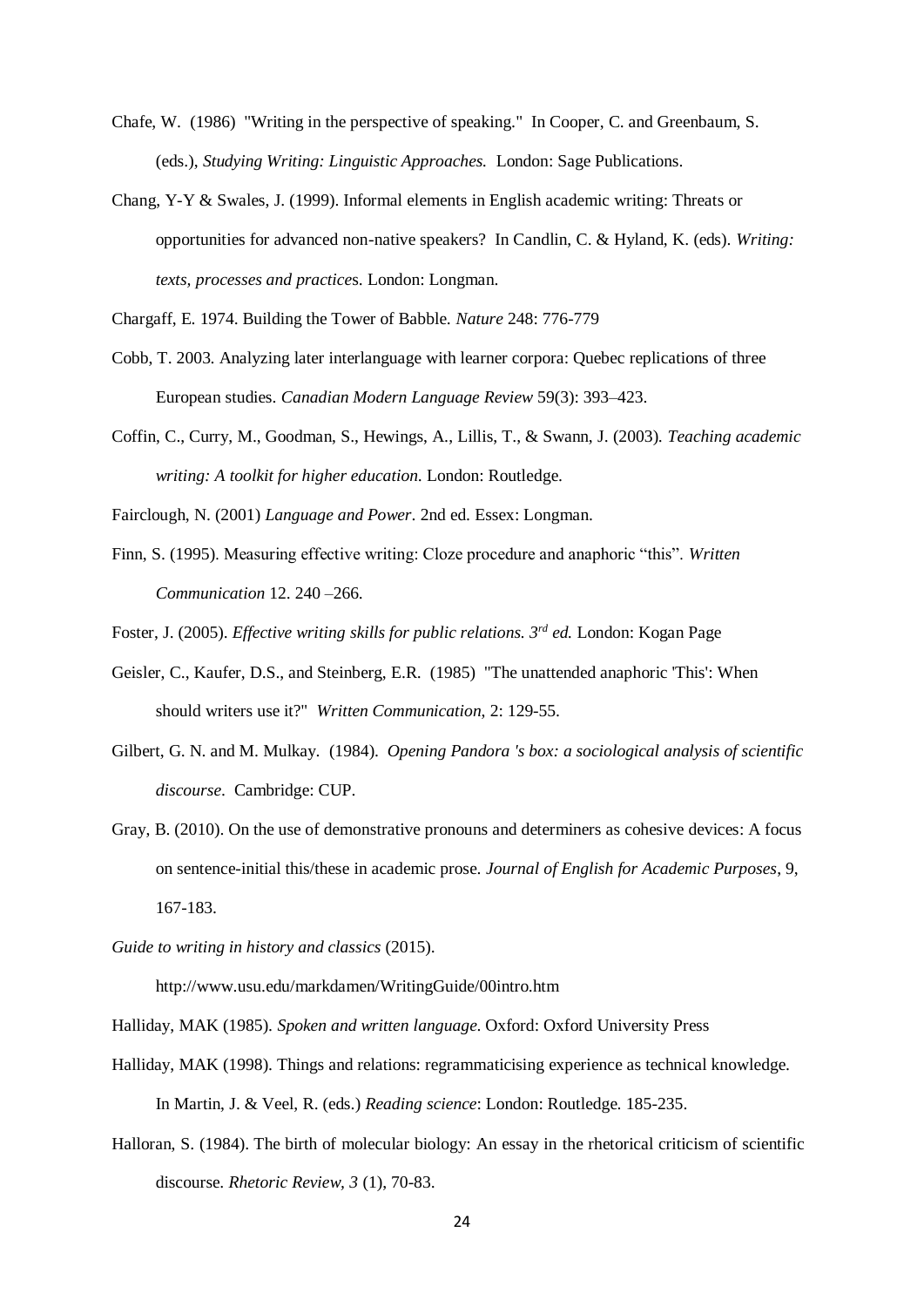- Chafe, W. (1986) "Writing in the perspective of speaking." In Cooper, C. and Greenbaum, S. (eds.), *Studying Writing: Linguistic Approaches.* London: Sage Publications.
- Chang, Y-Y & Swales, J. (1999). Informal elements in English academic writing: Threats or opportunities for advanced non-native speakers? In Candlin, C. & Hyland, K. (eds). *Writing: texts, processes and practice*s. London: Longman.

Chargaff, E. 1974. Building the Tower of Babble. *Nature* 248: 776-779

- Cobb, T. 2003. Analyzing later interlanguage with learner corpora: Quebec replications of three European studies. *Canadian Modern Language Review* 59(3): 393–423.
- Coffin, C., Curry, M., Goodman, S., Hewings, A., Lillis, T., & Swann, J. (2003). *Teaching academic writing: A toolkit for higher education*. London: Routledge.

Fairclough, N. (2001) *Language and Power*. 2nd ed. Essex: Longman.

Finn, S. (1995). Measuring effective writing: Cloze procedure and anaphoric "this". *Written Communication* 12. 240 –266.

Foster, J. (2005). *Effective writing skills for public relations. 3rd ed.* London: Kogan Page

- Geisler, C., Kaufer, D.S., and Steinberg, E.R. (1985) "The unattended anaphoric 'This': When should writers use it?" *Written Communication*, 2: 129-55.
- Gilbert, G. N. and M. Mulkay. (1984). *Opening Pandora 's box: a sociological analysis of scientific discourse*. Cambridge: CUP.
- Gray, B. (2010). On the use of demonstrative pronouns and determiners as cohesive devices: A focus on sentence-initial this/these in academic prose. *Journal of English for Academic Purposes*, 9, 167-183.
- *Guide to writing in history and classics* (2015).

http://www.usu.edu/markdamen/WritingGuide/00intro.htm

Halliday, MAK (1985). *Spoken and written language*. Oxford: Oxford University Press

- Halliday, MAK (1998). Things and relations: regrammaticising experience as technical knowledge. In Martin, J. & Veel, R. (eds.) *Reading science*: London: Routledge. 185-235.
- Halloran, S. (1984). The birth of molecular biology: An essay in the rhetorical criticism of scientific discourse. *Rhetoric Review, 3* (1), 70-83.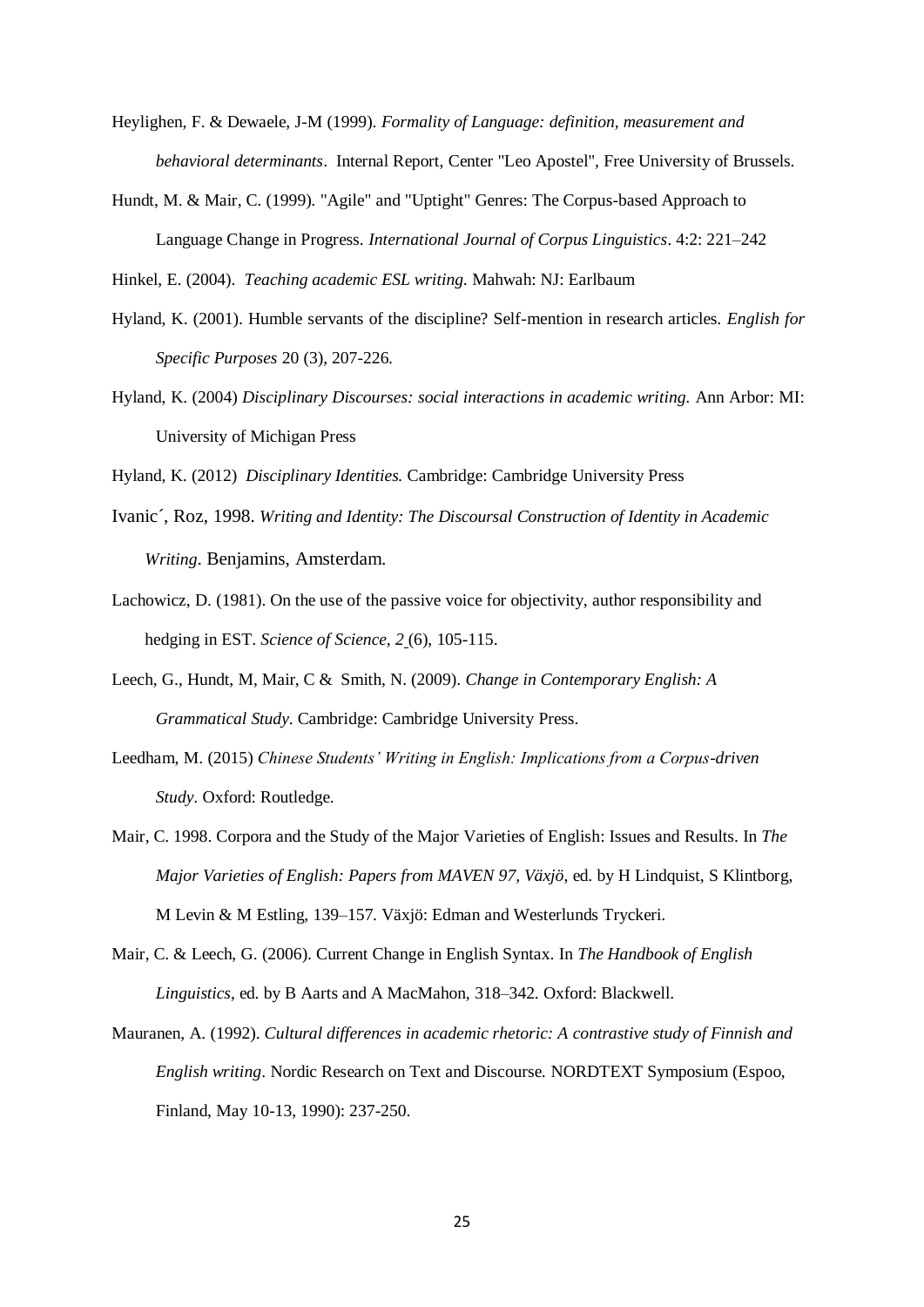- Heylighen, F. & Dewaele, J-M (1999). *Formality of Language: definition, measurement and behavioral determinants*. Internal Report, Center "Leo Apostel", Free University of Brussels.
- Hundt, M. & Mair, C. (1999). "Agile" and "Uptight" Genres: The Corpus-based Approach to Language Change in Progress. *International Journal of Corpus Linguistics*. 4:2: 221–242

Hinkel, E. (2004). *Teaching academic ESL writing.* Mahwah: NJ: Earlbaum

- Hyland, K. (2001). Humble servants of the discipline? Self-mention in research articles. *English for Specific Purposes* 20 (3), 207-226.
- Hyland, K. (2004) *Disciplinary Discourses: social interactions in academic writing.* Ann Arbor: MI: University of Michigan Press

Hyland, K. (2012) *Disciplinary Identities.* Cambridge: Cambridge University Press

- Ivanic´, Roz, 1998. *Writing and Identity: The Discoursal Construction of Identity in Academic Writing*. Benjamins, Amsterdam.
- Lachowicz, D. (1981). On the use of the passive voice for objectivity, author responsibility and hedging in EST. *Science of Science, 2* (6), 105-115.
- Leech, G., Hundt, M, Mair, C & Smith, N. (2009). *Change in Contemporary English: A Grammatical Study*. Cambridge: Cambridge University Press.
- Leedham, M. (2015) *Chinese Students' Writing in English: Implications from a Corpus-driven Study*. Oxford: Routledge.
- Mair, C. 1998. Corpora and the Study of the Major Varieties of English: Issues and Results. In *The Major Varieties of English: Papers from MAVEN 97, Växjö*, ed. by H Lindquist, S Klintborg, M Levin & M Estling, 139–157. Växjö: Edman and Westerlunds Tryckeri.
- Mair, C. & Leech, G. (2006). Current Change in English Syntax. In *The Handbook of English Linguistics*, ed. by B Aarts and A MacMahon, 318–342. Oxford: Blackwell.
- Mauranen, A. (1992). *Cultural differences in academic rhetoric: A contrastive study of Finnish and English writing*. Nordic Research on Text and Discourse. NORDTEXT Symposium (Espoo, Finland, May 10-13, 1990): 237-250.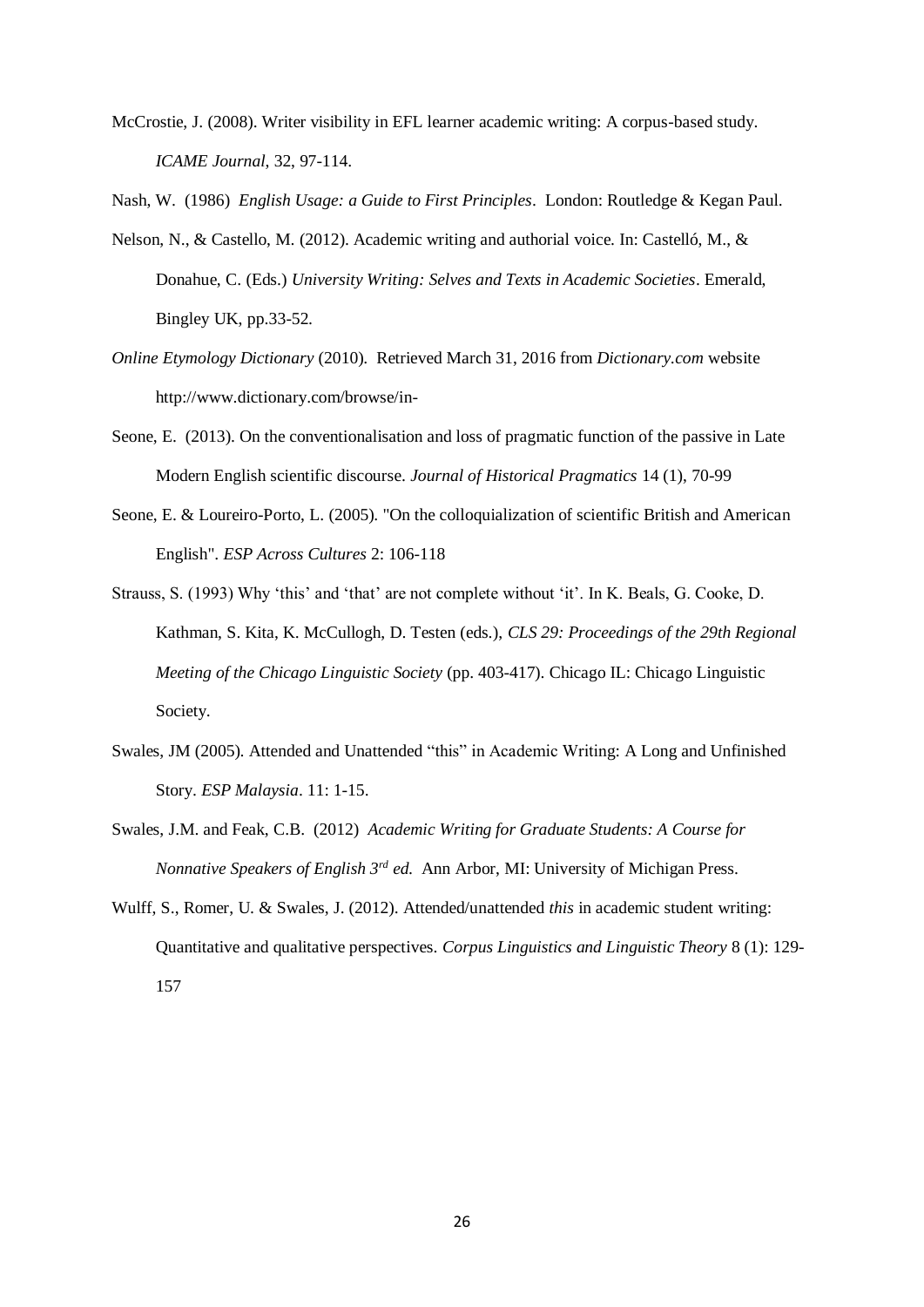McCrostie, J. (2008). Writer visibility in EFL learner academic writing: A corpus-based study. *ICAME Journal*, 32, 97-114.

Nash, W. (1986) *English Usage: a Guide to First Principles*. London: Routledge & Kegan Paul.

- Nelson, N., & Castello, M. (2012). Academic writing and authorial voice. In: Castelló, M., & Donahue, C. (Eds.) *University Writing: Selves and Texts in Academic Societies*. Emerald, Bingley UK, pp.33-52.
- *Online Etymology Dictionary* (2010). Retrieved March 31, 2016 from *Dictionary.com* website http://www.dictionary.com/browse/in-
- Seone, E. (2013). On the conventionalisation and loss of pragmatic function of the passive in Late Modern English scientific discourse. *Journal of Historical Pragmatics* 14 (1), 70-99
- Seone, E. & Loureiro-Porto, L. (2005). "On the colloquialization of scientific British and American English". *ESP Across Cultures* 2: 106-118
- Strauss, S. (1993) Why 'this' and 'that' are not complete without 'it'. In K. Beals, G. Cooke, D. Kathman, S. Kita, K. McCullogh, D. Testen (eds.), *CLS 29: Proceedings of the 29th Regional Meeting of the Chicago Linguistic Society* (pp. 403-417). Chicago IL: Chicago Linguistic Society.
- Swales, JM (2005). Attended and Unattended "this" in Academic Writing: A Long and Unfinished Story. *ESP Malaysia*. 11: 1-15.
- Swales, J.M. and Feak, C.B. (2012) *Academic Writing for Graduate Students: A Course for Nonnative Speakers of English 3rd ed*. Ann Arbor, MI: University of Michigan Press.
- Wulff, S., Romer, U. & Swales, J. (2012). Attended/unattended *this* in academic student writing: Quantitative and qualitative perspectives. *Corpus Linguistics and Linguistic Theory* 8 (1): 129- 157